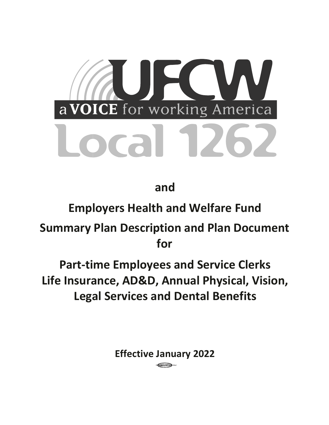

**and** 

# **Employers Health and Welfare Fund**

**Summary Plan Description and Plan Document for** 

**Part-time Employees and Service Clerks Life Insurance, AD&D, Annual Physical, Vision, Legal Services and Dental Benefits**

**Effective January 2022**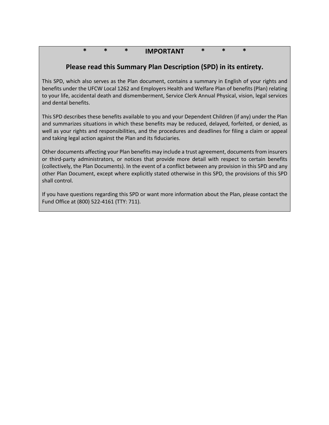# **\* \* \* IMPORTANT \* \* \***

# **Please read this Summary Plan Description (SPD) in its entirety.**

This SPD, which also serves as the Plan document, contains a summary in English of your rights and benefits under the UFCW Local 1262 and Employers Health and Welfare Plan of benefits (Plan) relating to your life, accidental death and dismemberment, Service Clerk Annual Physical, vision, legal services and dental benefits.

This SPD describes these benefits available to you and your Dependent Children (if any) under the Plan and summarizes situations in which these benefits may be reduced, delayed, forfeited, or denied, as well as your rights and responsibilities, and the procedures and deadlines for filing a claim or appeal and taking legal action against the Plan and its fiduciaries.

Other documents affecting your Plan benefits may include a trust agreement, documents from insurers or third-party administrators, or notices that provide more detail with respect to certain benefits (collectively, the Plan Documents). In the event of a conflict between any provision in this SPD and any other Plan Document, except where explicitly stated otherwise in this SPD, the provisions of this SPD shall control.

If you have questions regarding this SPD or want more information about the Plan, please contact the Fund Office at (800) 522-4161 (TTY: 711).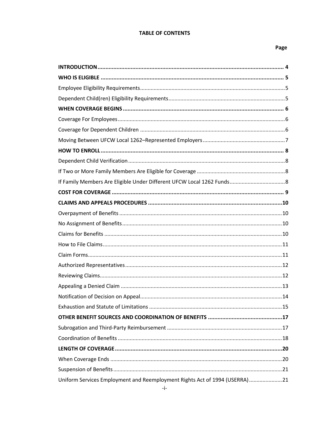### **TABLE OF CONTENTS**

# Page

| Uniform Services Employment and Reemployment Rights Act of 1994 (USERRA)21 |  |
|----------------------------------------------------------------------------|--|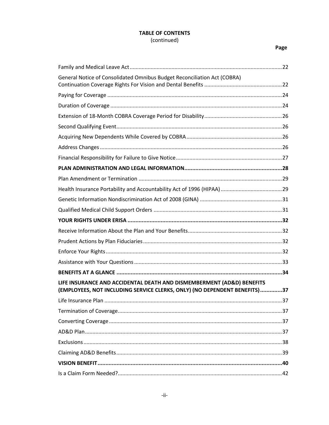# **TABLE OF CONTENTS** (continued)

# Page

| General Notice of Consolidated Omnibus Budget Reconciliation Act (COBRA)                                                                           |    |
|----------------------------------------------------------------------------------------------------------------------------------------------------|----|
|                                                                                                                                                    |    |
|                                                                                                                                                    |    |
|                                                                                                                                                    |    |
|                                                                                                                                                    |    |
|                                                                                                                                                    |    |
|                                                                                                                                                    |    |
|                                                                                                                                                    |    |
|                                                                                                                                                    |    |
|                                                                                                                                                    |    |
|                                                                                                                                                    |    |
|                                                                                                                                                    |    |
|                                                                                                                                                    |    |
|                                                                                                                                                    |    |
|                                                                                                                                                    |    |
|                                                                                                                                                    |    |
|                                                                                                                                                    |    |
|                                                                                                                                                    |    |
|                                                                                                                                                    |    |
| LIFE INSURANCE AND ACCIDENTAL DEATH AND DISMEMBERMENT (AD&D) BENEFITS<br>(EMPLOYEES, NOT INCLUDING SERVICE CLERKS, ONLY) (NO DEPENDENT BENEFITS)37 |    |
|                                                                                                                                                    | 37 |
|                                                                                                                                                    |    |
|                                                                                                                                                    |    |
|                                                                                                                                                    |    |
|                                                                                                                                                    |    |
|                                                                                                                                                    |    |
|                                                                                                                                                    |    |
|                                                                                                                                                    |    |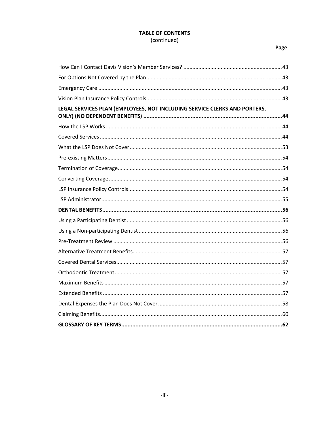# **TABLE OF CONTENTS** (continued)

# Page

| LEGAL SERVICES PLAN (EMPLOYEES, NOT INCLUDING SERVICE CLERKS AND PORTERS, |
|---------------------------------------------------------------------------|
|                                                                           |
|                                                                           |
|                                                                           |
|                                                                           |
|                                                                           |
|                                                                           |
|                                                                           |
|                                                                           |
|                                                                           |
|                                                                           |
|                                                                           |
|                                                                           |
|                                                                           |
|                                                                           |
|                                                                           |
|                                                                           |
|                                                                           |
|                                                                           |
|                                                                           |
|                                                                           |
|                                                                           |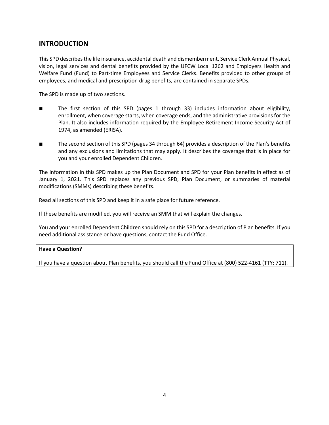# **INTRODUCTION**

This SPD describes the life insurance, accidental death and dismemberment, Service Clerk Annual Physical, vision, legal services and dental benefits provided by the UFCW Local 1262 and Employers Health and Welfare Fund (Fund) to Part-time Employees and Service Clerks. Benefits provided to other groups of employees, and medical and prescription drug benefits, are contained in separate SPDs.

The SPD is made up of two sections.

- The first section of this SPD (pages 1 through 33) includes information about eligibility, enrollment, when coverage starts, when coverage ends, and the administrative provisions for the Plan. It also includes information required by the Employee Retirement Income Security Act of 1974, as amended (ERISA).
- The second section of this SPD (pages 34 through 64) provides a description of the Plan's benefits and any exclusions and limitations that may apply. It describes the coverage that is in place for you and your enrolled Dependent Children.

The information in this SPD makes up the Plan Document and SPD for your Plan benefits in effect as of January 1, 2021. This SPD replaces any previous SPD, Plan Document, or summaries of material modifications (SMMs) describing these benefits.

Read all sections of this SPD and keep it in a safe place for future reference.

If these benefits are modified, you will receive an SMM that will explain the changes.

You and your enrolled Dependent Children should rely on this SPD for a description of Plan benefits. If you need additional assistance or have questions, contact the Fund Office.

### **Have a Question?**

If you have a question about Plan benefits, you should call the Fund Office at (800) 522-4161 (TTY: 711).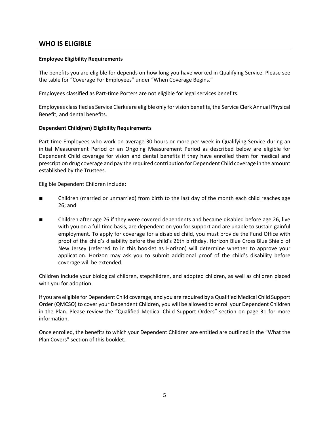# **WHO IS ELIGIBLE**

### **Employee Eligibility Requirements**

The benefits you are eligible for depends on how long you have worked in Qualifying Service. Please see the table for "Coverage For Employees" under "When Coverage Begins."

Employees classified as Part-time Porters are not eligible for legal services benefits.

Employees classified as Service Clerks are eligible only for vision benefits, the Service Clerk Annual Physical Benefit, and dental benefits.

### **Dependent Child(ren) Eligibility Requirements**

Part-time Employees who work on average 30 hours or more per week in Qualifying Service during an initial Measurement Period or an Ongoing Measurement Period as described below are eligible for Dependent Child coverage for vision and dental benefits if they have enrolled them for medical and prescription drug coverage and pay the required contribution for Dependent Child coverage in the amount established by the Trustees.

Eligible Dependent Children include:

- Children (married or unmarried) from birth to the last day of the month each child reaches age 26; and
- Children after age 26 if they were covered dependents and became disabled before age 26, live with you on a full-time basis, are dependent on you for support and are unable to sustain gainful employment. To apply for coverage for a disabled child, you must provide the Fund Office with proof of the child's disability before the child's 26th birthday. Horizon Blue Cross Blue Shield of New Jersey (referred to in this booklet as Horizon) will determine whether to approve your application. Horizon may ask you to submit additional proof of the child's disability before coverage will be extended.

Children include your biological children, stepchildren, and adopted children, as well as children placed with you for adoption.

If you are eligible for Dependent Child coverage, and you are required by a Qualified Medical Child Support Order (QMCSO) to cover your Dependent Children, you will be allowed to enroll your Dependent Children in the Plan. Please review the "Qualified Medical Child Support Orders" section on page 31 for more information.

Once enrolled, the benefits to which your Dependent Children are entitled are outlined in the "What the Plan Covers" section of this booklet.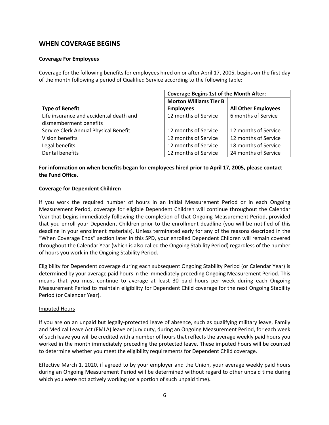# **WHEN COVERAGE BEGINS**

### **Coverage For Employees**

Coverage for the following benefits for employees hired on or after April 17, 2005, begins on the first day of the month following a period of Qualified Service according to the following table:

|                                         | <b>Coverage Begins 1st of the Month After:</b> |                            |  |
|-----------------------------------------|------------------------------------------------|----------------------------|--|
|                                         | <b>Morton Williams Tier B</b>                  |                            |  |
| <b>Type of Benefit</b>                  | <b>Employees</b>                               | <b>All Other Employees</b> |  |
| Life insurance and accidental death and | 12 months of Service                           | 6 months of Service        |  |
| dismemberment benefits                  |                                                |                            |  |
| Service Clerk Annual Physical Benefit   | 12 months of Service                           | 12 months of Service       |  |
| Vision benefits                         | 12 months of Service                           | 12 months of Service       |  |
| Legal benefits                          | 12 months of Service                           | 18 months of Service       |  |
| Dental benefits                         | 12 months of Service                           | 24 months of Service       |  |

# **For information on when benefits began for employees hired prior to April 17, 2005, please contact the Fund Office.**

### **Coverage for Dependent Children**

If you work the required number of hours in an Initial Measurement Period or in each Ongoing Measurement Period, coverage for eligible Dependent Children will continue throughout the Calendar Year that begins immediately following the completion of that Ongoing Measurement Period, provided that you enroll your Dependent Children prior to the enrollment deadline (you will be notified of this deadline in your enrollment materials). Unless terminated early for any of the reasons described in the "When Coverage Ends" section later in this SPD, your enrolled Dependent Children will remain covered throughout the Calendar Year (which is also called the Ongoing Stability Period) regardless of the number of hours you work in the Ongoing Stability Period.

Eligibility for Dependent coverage during each subsequent Ongoing Stability Period (or Calendar Year) is determined by your average paid hours in the immediately preceding Ongoing Measurement Period. This means that you must continue to average at least 30 paid hours per week during each Ongoing Measurement Period to maintain eligibility for Dependent Child coverage for the next Ongoing Stability Period (or Calendar Year).

### Imputed Hours

If you are on an unpaid but legally-protected leave of absence, such as qualifying military leave, Family and Medical Leave Act (FMLA) leave or jury duty, during an Ongoing Measurement Period, for each week of such leave you will be credited with a number of hours that reflects the average weekly paid hours you worked in the month immediately preceding the protected leave. These imputed hours will be counted to determine whether you meet the eligibility requirements for Dependent Child coverage.

Effective March 1, 2020, if agreed to by your employer and the Union, your average weekly paid hours during an Ongoing Measurement Period will be determined without regard to other unpaid time during which you were not actively working (or a portion of such unpaid time)**.**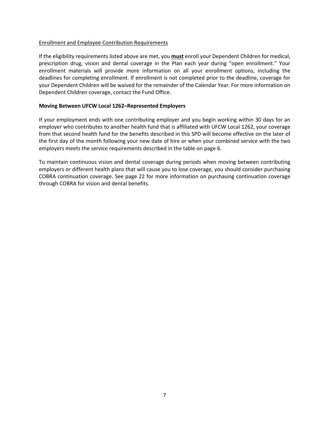#### Enrollment and Employee Contribution Requirements

If the eligibility requirements listed above are met, you **must** enroll your Dependent Children for medical, prescription drug, vision and dental coverage in the Plan each year during "open enrollment." Your enrollment materials will provide more information on all your enrollment options, including the deadlines for completing enrollment. If enrollment is not completed prior to the deadline, coverage for your Dependent Children will be waived for the remainder of the Calendar Year. For more information on Dependent Children coverage, contact the Fund Office.

#### **Moving Between UFCW Local 1262–Represented Employers**

If your employment ends with one contributing employer and you begin working within 30 days for an employer who contributes to another health fund that is affiliated with UFCW Local 1262, your coverage from that second health fund for the benefits described in this SPD will become effective on the later of the first day of the month following your new date of hire or when your combined service with the two employers meets the service requirements described in the table on page 6.

To maintain continuous vision and dental coverage during periods when moving between contributing employers or different health plans that will cause you to lose coverage, you should consider purchasing COBRA continuation coverage. See page 22 for more information on purchasing continuation coverage through COBRA for vision and dental benefits.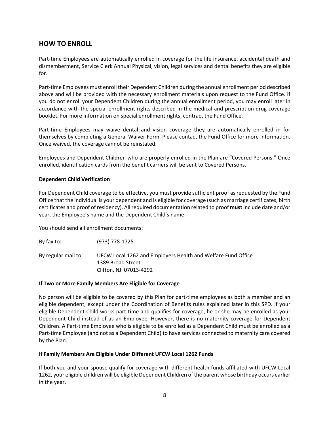# **HOW TO ENROLL**

Part-time Employees are automatically enrolled in coverage for the life insurance, accidental death and dismemberment, Service Clerk Annual Physical, vision, legal services and dental benefits they are eligible for.

Part-time Employees must enroll their Dependent Children during the annual enrollment period described above and will be provided with the necessary enrollment materials upon request to the Fund Office. If you do not enroll your Dependent Children during the annual enrollment period, you may enroll later in accordance with the special enrollment rights described in the medical and prescription drug coverage booklet. For more information on special enrollment rights, contract the Fund Office.

Part-time Employees may waive dental and vision coverage they are automatically enrolled in for themselves by completing a General Waiver Form. Please contact the Fund Office for more information. Once waived, the coverage cannot be reinstated.

Employees and Dependent Children who are properly enrolled in the Plan are "Covered Persons." Once enrolled, identification cards from the benefit carriers will be sent to Covered Persons.

### **Dependent Child Verification**

For Dependent Child coverage to be effective, you must provide sufficient proof as requested by the Fund Office that the individual is your dependent and is eligible for coverage (such as marriage certificates, birth certificates and proof of residency). All required documentation related to proof **must** include date and/or year, the Employee's name and the Dependent Child's name.

You should send all enrollment documents:

By fax to: (973) 778-1725 By regular mail to: UFCW Local 1262 and Employers Health and Welfare Fund Office 1389 Broad Street Clifton, NJ 07013-4292

### **If Two or More Family Members Are Eligible for Coverage**

No person will be eligible to be covered by this Plan for part-time employees as both a member and an eligible dependent, except under the Coordination of Benefits rules explained later in this SPD. If your eligible Dependent Child works part-time and qualifies for coverage, he or she may be enrolled as your Dependent Child instead of as an Employee. However, there is no maternity coverage for Dependent Children. A Part-time Employee who is eligible to be enrolled as a Dependent Child must be enrolled as a Part-time Employee (and not as a Dependent Child) to have services connected to maternity care covered by the Plan.

### **If Family Members Are Eligible Under Different UFCW Local 1262 Funds**

If both you and your spouse qualify for coverage with different health funds affiliated with UFCW Local 1262, your eligible children will be eligible Dependent Children of the parent whose birthday occurs earlier in the year.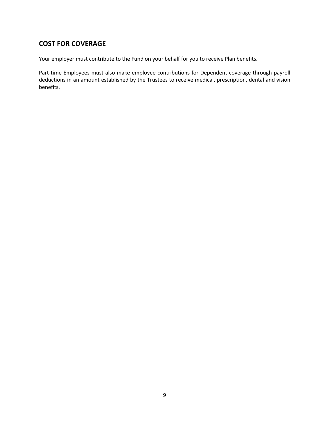# **COST FOR COVERAGE**

Your employer must contribute to the Fund on your behalf for you to receive Plan benefits.

Part-time Employees must also make employee contributions for Dependent coverage through payroll deductions in an amount established by the Trustees to receive medical, prescription, dental and vision benefits.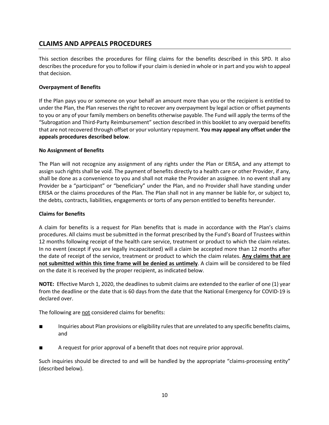# **CLAIMS AND APPEALS PROCEDURES**

This section describes the procedures for filing claims for the benefits described in this SPD. It also describes the procedure for you to follow if your claim is denied in whole or in part and you wish to appeal that decision.

# **Overpayment of Benefits**

If the Plan pays you or someone on your behalf an amount more than you or the recipient is entitled to under the Plan, the Plan reserves the right to recover any overpayment by legal action or offset payments to you or any of your family members on benefits otherwise payable. The Fund will apply the terms of the "Subrogation and Third-Party Reimbursement" section described in this booklet to any overpaid benefits that are not recovered through offset or your voluntary repayment. **You may appeal any offset under the appeals procedures described below**.

### **No Assignment of Benefits**

The Plan will not recognize any assignment of any rights under the Plan or ERISA, and any attempt to assign such rights shall be void. The payment of benefits directly to a health care or other Provider, if any, shall be done as a convenience to you and shall not make the Provider an assignee. In no event shall any Provider be a "participant" or "beneficiary" under the Plan, and no Provider shall have standing under ERISA or the claims procedures of the Plan. The Plan shall not in any manner be liable for, or subject to, the debts, contracts, liabilities, engagements or torts of any person entitled to benefits hereunder.

#### **Claims for Benefits**

A claim for benefits is a request for Plan benefits that is made in accordance with the Plan's claims procedures. All claims must be submitted in the format prescribed by the Fund's Board of Trustees within 12 months following receipt of the health care service, treatment or product to which the claim relates. In no event (except if you are legally incapacitated) will a claim be accepted more than 12 months after the date of receipt of the service, treatment or product to which the claim relates. **Any claims that are not submitted within this time frame will be denied as untimely**. A claim will be considered to be filed on the date it is received by the proper recipient, as indicated below.

**NOTE:** Effective March 1, 2020, the deadlines to submit claims are extended to the earlier of one (1) year from the deadline or the date that is 60 days from the date that the National Emergency for COVID-19 is declared over.

The following are not considered claims for benefits:

- Inquiries about Plan provisions or eligibility rules that are unrelated to any specific benefits claims, and
- A request for prior approval of a benefit that does not require prior approval.

Such inquiries should be directed to and will be handled by the appropriate "claims-processing entity" (described below).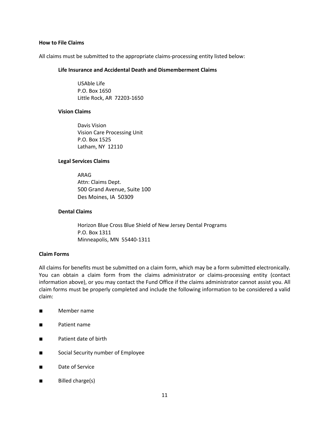#### **How to File Claims**

All claims must be submitted to the appropriate claims-processing entity listed below:

#### **Life Insurance and Accidental Death and Dismemberment Claims**

USAble Life P.O. Box 1650 Little Rock, AR 72203-1650

#### **Vision Claims**

Davis Vision Vision Care Processing Unit P.O. Box 1525 Latham, NY 12110

#### **Legal Services Claims**

ARAG Attn: Claims Dept. 500 Grand Avenue, Suite 100 Des Moines, IA 50309

# **Dental Claims**

Horizon Blue Cross Blue Shield of New Jersey Dental Programs P.O. Box 1311 Minneapolis, MN 55440-1311

### **Claim Forms**

All claims for benefits must be submitted on a claim form, which may be a form submitted electronically. You can obtain a claim form from the claims administrator or claims-processing entity (contact information above), or you may contact the Fund Office if the claims administrator cannot assist you. All claim forms must be properly completed and include the following information to be considered a valid claim:

- Member name
- Patient name
- Patient date of birth
- Social Security number of Employee
- Date of Service
- Billed charge(s)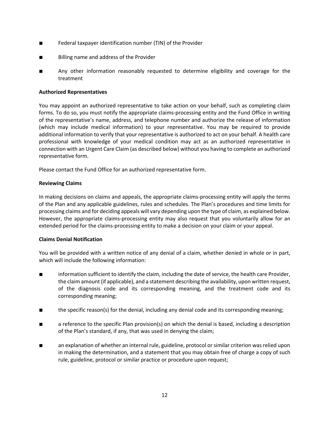- Federal taxpayer identification number (TIN) of the Provider
- Billing name and address of the Provider
- Any other information reasonably requested to determine eligibility and coverage for the treatment

### **Authorized Representatives**

You may appoint an authorized representative to take action on your behalf, such as completing claim forms. To do so, you must notify the appropriate claims-processing entity and the Fund Office in writing of the representative's name, address, and telephone number and authorize the release of information (which may include medical information) to your representative. You may be required to provide additional information to verify that your representative is authorized to act on your behalf. A health care professional with knowledge of your medical condition may act as an authorized representative in connection with an Urgent Care Claim (as described below) without you having to complete an authorized representative form.

Please contact the Fund Office for an authorized representative form.

# **Reviewing Claims**

In making decisions on claims and appeals, the appropriate claims-processing entity will apply the terms of the Plan and any applicable guidelines, rules and schedules. The Plan's procedures and time limits for processing claims and for deciding appeals will vary depending upon the type of claim, as explained below. However, the appropriate claims-processing entity may also request that you voluntarily allow for an extended period for the claims-processing entity to make a decision on your claim or your appeal.

### **Claims Denial Notification**

You will be provided with a written notice of any denial of a claim, whether denied in whole or in part, which will include the following information:

- information sufficient to identify the claim, including the date of service, the health care Provider, the claim amount (if applicable), and a statement describing the availability, upon written request, of the diagnosis code and its corresponding meaning, and the treatment code and its corresponding meaning;
- the specific reason(s) for the denial, including any denial code and its corresponding meaning;
- a reference to the specific Plan provision(s) on which the denial is based, including a description of the Plan's standard, if any, that was used in denying the claim;
- an explanation of whether an internal rule, guideline, protocol or similar criterion was relied upon in making the determination, and a statement that you may obtain free of charge a copy of such rule, guideline, protocol or similar practice or procedure upon request;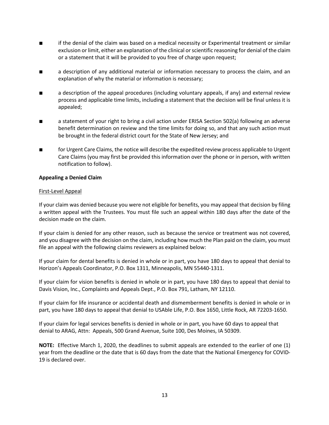- if the denial of the claim was based on a medical necessity or Experimental treatment or similar exclusion or limit, either an explanation of the clinical or scientific reasoning for denial of the claim or a statement that it will be provided to you free of charge upon request;
- a description of any additional material or information necessary to process the claim, and an explanation of why the material or information is necessary;
- a description of the appeal procedures (including voluntary appeals, if any) and external review process and applicable time limits, including a statement that the decision will be final unless it is appealed;
- a statement of your right to bring a civil action under ERISA Section 502(a) following an adverse benefit determination on review and the time limits for doing so, and that any such action must be brought in the federal district court for the State of New Jersey; and
- for Urgent Care Claims, the notice will describe the expedited review process applicable to Urgent Care Claims (you may first be provided this information over the phone or in person, with written notification to follow).

#### **Appealing a Denied Claim**

#### First-Level Appeal

If your claim was denied because you were not eligible for benefits, you may appeal that decision by filing a written appeal with the Trustees. You must file such an appeal within 180 days after the date of the decision made on the claim.

If your claim is denied for any other reason, such as because the service or treatment was not covered, and you disagree with the decision on the claim, including how much the Plan paid on the claim, you must file an appeal with the following claims reviewers as explained below:

If your claim for dental benefits is denied in whole or in part, you have 180 days to appeal that denial to Horizon's Appeals Coordinator, P.O. Box 1311, Minneapolis, MN 55440-1311.

If your claim for vision benefits is denied in whole or in part, you have 180 days to appeal that denial to Davis Vision, Inc., Complaints and Appeals Dept., P.O. Box 791, Latham, NY 12110.

If your claim for life insurance or accidental death and dismemberment benefits is denied in whole or in part, you have 180 days to appeal that denial to USAble Life, P.O. Box 1650, Little Rock, AR 72203-1650.

If your claim for legal services benefits is denied in whole or in part, you have 60 days to appeal that denial to ARAG, Attn: Appeals, 500 Grand Avenue, Suite 100, Des Moines, IA 50309.

**NOTE:** Effective March 1, 2020, the deadlines to submit appeals are extended to the earlier of one (1) year from the deadline or the date that is 60 days from the date that the National Emergency for COVID-19 is declared over.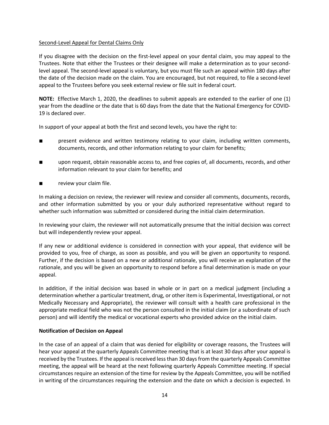### Second-Level Appeal for Dental Claims Only

If you disagree with the decision on the first-level appeal on your dental claim, you may appeal to the Trustees. Note that either the Trustees or their designee will make a determination as to your secondlevel appeal. The second-level appeal is voluntary, but you must file such an appeal within 180 days after the date of the decision made on the claim. You are encouraged, but not required, to file a second-level appeal to the Trustees before you seek external review or file suit in federal court.

**NOTE:** Effective March 1, 2020, the deadlines to submit appeals are extended to the earlier of one (1) year from the deadline or the date that is 60 days from the date that the National Emergency for COVID-19 is declared over.

In support of your appeal at both the first and second levels, you have the right to:

- present evidence and written testimony relating to your claim, including written comments, documents, records, and other information relating to your claim for benefits;
- upon request, obtain reasonable access to, and free copies of, all documents, records, and other information relevant to your claim for benefits; and
- review your claim file.

In making a decision on review, the reviewer will review and consider all comments, documents, records, and other information submitted by you or your duly authorized representative without regard to whether such information was submitted or considered during the initial claim determination.

In reviewing your claim, the reviewer will not automatically presume that the initial decision was correct but will independently review your appeal.

If any new or additional evidence is considered in connection with your appeal, that evidence will be provided to you, free of charge, as soon as possible, and you will be given an opportunity to respond. Further, if the decision is based on a new or additional rationale, you will receive an explanation of the rationale, and you will be given an opportunity to respond before a final determination is made on your appeal.

In addition, if the initial decision was based in whole or in part on a medical judgment (including a determination whether a particular treatment, drug, or other item is Experimental, Investigational, or not Medically Necessary and Appropriate), the reviewer will consult with a health care professional in the appropriate medical field who was not the person consulted in the initial claim (or a subordinate of such person) and will identify the medical or vocational experts who provided advice on the initial claim.

### **Notification of Decision on Appeal**

In the case of an appeal of a claim that was denied for eligibility or coverage reasons, the Trustees will hear your appeal at the quarterly Appeals Committee meeting that is at least 30 days after your appeal is received by the Trustees. If the appeal is received less than 30 days from the quarterly Appeals Committee meeting, the appeal will be heard at the next following quarterly Appeals Committee meeting. If special circumstances require an extension of the time for review by the Appeals Committee, you will be notified in writing of the circumstances requiring the extension and the date on which a decision is expected. In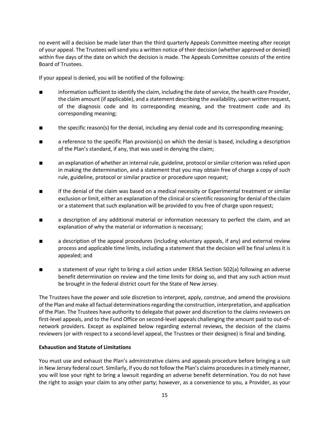no event will a decision be made later than the third quarterly Appeals Committee meeting after receipt of your appeal. The Trustees will send you a written notice of their decision (whether approved or denied) within five days of the date on which the decision is made. The Appeals Committee consists of the entire Board of Trustees.

If your appeal is denied, you will be notified of the following:

- information sufficient to identify the claim, including the date of service, the health care Provider, the claim amount (if applicable), and a statement describing the availability, upon written request, of the diagnosis code and its corresponding meaning, and the treatment code and its corresponding meaning;
- the specific reason(s) for the denial, including any denial code and its corresponding meaning;
- a reference to the specific Plan provision(s) on which the denial is based, including a description of the Plan's standard, if any, that was used in denying the claim;
- an explanation of whether an internal rule, guideline, protocol or similar criterion was relied upon in making the determination, and a statement that you may obtain free of charge a copy of such rule, guideline, protocol or similar practice or procedure upon request;
- if the denial of the claim was based on a medical necessity or Experimental treatment or similar exclusion or limit, either an explanation of the clinical or scientific reasoning for denial of the claim or a statement that such explanation will be provided to you free of charge upon request;
- a description of any additional material or information necessary to perfect the claim, and an explanation of why the material or information is necessary;
- a description of the appeal procedures (including voluntary appeals, if any) and external review process and applicable time limits, including a statement that the decision will be final unless it is appealed; and
- a statement of your right to bring a civil action under ERISA Section 502(a) following an adverse benefit determination on review and the time limits for doing so, and that any such action must be brought in the federal district court for the State of New Jersey.

The Trustees have the power and sole discretion to interpret, apply, construe, and amend the provisions of the Plan and make all factual determinations regarding the construction, interpretation, and application of the Plan. The Trustees have authority to delegate that power and discretion to the claims reviewers on first-level appeals, and to the Fund Office on second-level appeals challenging the amount paid to out-ofnetwork providers. Except as explained below regarding external reviews, the decision of the claims reviewers (or with respect to a second-level appeal, the Trustees or their designee) is final and binding.

### **Exhaustion and Statute of Limitations**

You must use and exhaust the Plan's administrative claims and appeals procedure before bringing a suit in New Jersey federal court. Similarly, if you do not follow the Plan's claims procedures in a timely manner, you will lose your right to bring a lawsuit regarding an adverse benefit determination. You do not have the right to assign your claim to any other party; however, as a convenience to you, a Provider, as your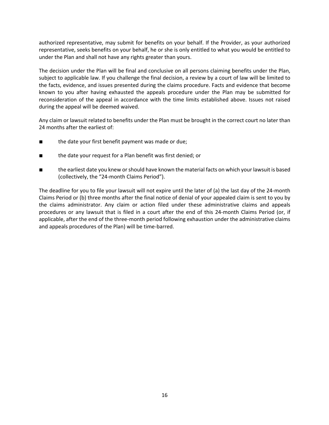authorized representative, may submit for benefits on your behalf. If the Provider, as your authorized representative, seeks benefits on your behalf, he or she is only entitled to what you would be entitled to under the Plan and shall not have any rights greater than yours.

The decision under the Plan will be final and conclusive on all persons claiming benefits under the Plan, subject to applicable law. If you challenge the final decision, a review by a court of law will be limited to the facts, evidence, and issues presented during the claims procedure. Facts and evidence that become known to you after having exhausted the appeals procedure under the Plan may be submitted for reconsideration of the appeal in accordance with the time limits established above. Issues not raised during the appeal will be deemed waived.

Any claim or lawsuit related to benefits under the Plan must be brought in the correct court no later than 24 months after the earliest of:

- the date your first benefit payment was made or due;
- the date your request for a Plan benefit was first denied; or
- the earliest date you knew or should have known the material facts on which your lawsuit is based (collectively, the "24-month Claims Period").

The deadline for you to file your lawsuit will not expire until the later of (a) the last day of the 24-month Claims Period or (b) three months after the final notice of denial of your appealed claim is sent to you by the claims administrator. Any claim or action filed under these administrative claims and appeals procedures or any lawsuit that is filed in a court after the end of this 24-month Claims Period (or, if applicable, after the end of the three-month period following exhaustion under the administrative claims and appeals procedures of the Plan) will be time-barred.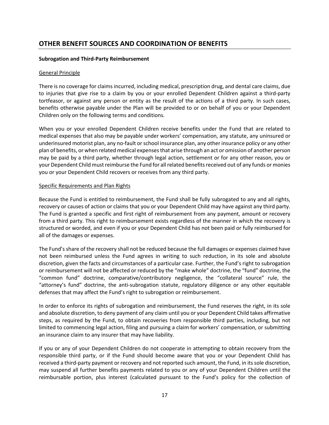# **OTHER BENEFIT SOURCES AND COORDINATION OF BENEFITS**

### **Subrogation and Third-Party Reimbursement**

#### General Principle

There is no coverage for claims incurred, including medical, prescription drug, and dental care claims, due to injuries that give rise to a claim by you or your enrolled Dependent Children against a third-party tortfeasor, or against any person or entity as the result of the actions of a third party. In such cases, benefits otherwise payable under the Plan will be provided to or on behalf of you or your Dependent Children only on the following terms and conditions.

When you or your enrolled Dependent Children receive benefits under the Fund that are related to medical expenses that also may be payable under workers' compensation, any statute, any uninsured or underinsured motorist plan, any no-fault or school insurance plan, any other insurance policy or any other plan of benefits, or when related medical expenses that arise through an act or omission of another person may be paid by a third party, whether through legal action, settlement or for any other reason, you or your Dependent Child must reimburse the Fund for all related benefits received out of any funds or monies you or your Dependent Child recovers or receives from any third party.

#### Specific Requirements and Plan Rights

Because the Fund is entitled to reimbursement, the Fund shall be fully subrogated to any and all rights, recovery or causes of action or claims that you or your Dependent Child may have against any third party. The Fund is granted a specific and first right of reimbursement from any payment, amount or recovery from a third party. This right to reimbursement exists regardless of the manner in which the recovery is structured or worded, and even if you or your Dependent Child has not been paid or fully reimbursed for all of the damages or expenses.

The Fund's share of the recovery shall not be reduced because the full damages or expenses claimed have not been reimbursed unless the Fund agrees in writing to such reduction, in its sole and absolute discretion, given the facts and circumstances of a particular case. Further, the Fund's right to subrogation or reimbursement will not be affected or reduced by the "make whole" doctrine, the "fund" doctrine, the "common fund" doctrine, comparative/contributory negligence, the "collateral source" rule, the "attorney's fund" doctrine, the anti-subrogation statute, regulatory diligence or any other equitable defenses that may affect the Fund's right to subrogation or reimbursement.

In order to enforce its rights of subrogation and reimbursement, the Fund reserves the right, in its sole and absolute discretion, to deny payment of any claim until you or your Dependent Child takes affirmative steps, as required by the Fund, to obtain recoveries from responsible third parties, including, but not limited to commencing legal action, filing and pursuing a claim for workers' compensation, or submitting an insurance claim to any insurer that may have liability.

If you or any of your Dependent Children do not cooperate in attempting to obtain recovery from the responsible third party, or if the Fund should become aware that you or your Dependent Child has received a third-party payment or recovery and not reported such amount, the Fund, in its sole discretion, may suspend all further benefits payments related to you or any of your Dependent Children until the reimbursable portion, plus interest (calculated pursuant to the Fund's policy for the collection of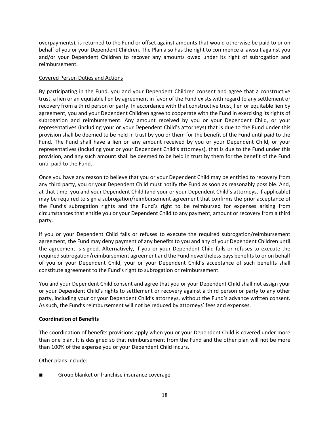overpayments), is returned to the Fund or offset against amounts that would otherwise be paid to or on behalf of you or your Dependent Children. The Plan also has the right to commence a lawsuit against you and/or your Dependent Children to recover any amounts owed under its right of subrogation and reimbursement.

### Covered Person Duties and Actions

By participating in the Fund, you and your Dependent Children consent and agree that a constructive trust, a lien or an equitable lien by agreement in favor of the Fund exists with regard to any settlement or recovery from a third person or party. In accordance with that constructive trust, lien or equitable lien by agreement, you and your Dependent Children agree to cooperate with the Fund in exercising its rights of subrogation and reimbursement. Any amount received by you or your Dependent Child, or your representatives (including your or your Dependent Child's attorneys) that is due to the Fund under this provision shall be deemed to be held in trust by you or them for the benefit of the Fund until paid to the Fund. The Fund shall have a lien on any amount received by you or your Dependent Child, or your representatives (including your or your Dependent Child's attorneys), that is due to the Fund under this provision, and any such amount shall be deemed to be held in trust by them for the benefit of the Fund until paid to the Fund.

Once you have any reason to believe that you or your Dependent Child may be entitled to recovery from any third party, you or your Dependent Child must notify the Fund as soon as reasonably possible. And, at that time, you and your Dependent Child (and your or your Dependent Child's attorneys, if applicable) may be required to sign a subrogation/reimbursement agreement that confirms the prior acceptance of the Fund's subrogation rights and the Fund's right to be reimbursed for expenses arising from circumstances that entitle you or your Dependent Child to any payment, amount or recovery from a third party.

If you or your Dependent Child fails or refuses to execute the required subrogation/reimbursement agreement, the Fund may deny payment of any benefits to you and any of your Dependent Children until the agreement is signed. Alternatively, if you or your Dependent Child fails or refuses to execute the required subrogation/reimbursement agreement and the Fund nevertheless pays benefits to or on behalf of you or your Dependent Child, your or your Dependent Child's acceptance of such benefits shall constitute agreement to the Fund's right to subrogation or reimbursement.

You and your Dependent Child consent and agree that you or your Dependent Child shall not assign your or your Dependent Child's rights to settlement or recovery against a third person or party to any other party, including your or your Dependent Child's attorneys, without the Fund's advance written consent. As such, the Fund's reimbursement will not be reduced by attorneys' fees and expenses.

# **Coordination of Benefits**

The coordination of benefits provisions apply when you or your Dependent Child is covered under more than one plan. It is designed so that reimbursement from the Fund and the other plan will not be more than 100% of the expense you or your Dependent Child incurs.

Other plans include:

Group blanket or franchise insurance coverage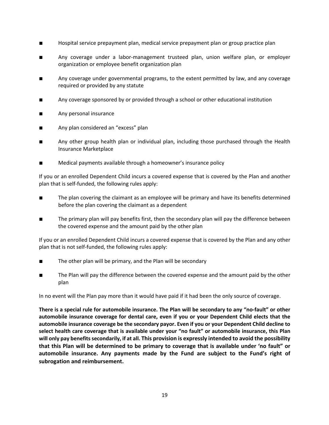- Hospital service prepayment plan, medical service prepayment plan or group practice plan
- Any coverage under a labor-management trusteed plan, union welfare plan, or employer organization or employee benefit organization plan
- Any coverage under governmental programs, to the extent permitted by law, and any coverage required or provided by any statute
- Any coverage sponsored by or provided through a school or other educational institution
- Any personal insurance
- Any plan considered an "excess" plan
- Any other group health plan or individual plan, including those purchased through the Health Insurance Marketplace
- Medical payments available through a homeowner's insurance policy

If you or an enrolled Dependent Child incurs a covered expense that is covered by the Plan and another plan that is self-funded, the following rules apply:

- The plan covering the claimant as an employee will be primary and have its benefits determined before the plan covering the claimant as a dependent
- The primary plan will pay benefits first, then the secondary plan will pay the difference between the covered expense and the amount paid by the other plan

If you or an enrolled Dependent Child incurs a covered expense that is covered by the Plan and any other plan that is not self-funded, the following rules apply:

- The other plan will be primary, and the Plan will be secondary
- The Plan will pay the difference between the covered expense and the amount paid by the other plan

In no event will the Plan pay more than it would have paid if it had been the only source of coverage.

**There is a special rule for automobile insurance. The Plan will be secondary to any "no-fault" or other automobile insurance coverage for dental care, even if you or your Dependent Child elects that the automobile insurance coverage be the secondary payor. Even if you or your Dependent Child decline to select health care coverage that is available under your "no fault" or automobile insurance, this Plan will only pay benefits secondarily, if at all. This provision is expressly intended to avoid the possibility that this Plan will be determined to be primary to coverage that is available under 'no fault" or automobile insurance. Any payments made by the Fund are subject to the Fund's right of subrogation and reimbursement.**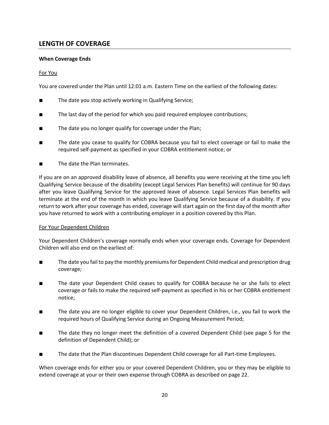# **LENGTH OF COVERAGE**

# **When Coverage Ends**

# For You

You are covered under the Plan until 12:01 a.m. Eastern Time on the earliest of the following dates:

- The date you stop actively working in Qualifying Service;
- The last day of the period for which you paid required employee contributions;
- The date you no longer qualify for coverage under the Plan;
- The date you cease to qualify for COBRA because you fail to elect coverage or fail to make the required self-payment as specified in your COBRA entitlement notice; or
- The date the Plan terminates.

If you are on an approved disability leave of absence, all benefits you were receiving at the time you left Qualifying Service because of the disability (except Legal Services Plan benefits) will continue for 90 days after you leave Qualifying Service for the approved leave of absence. Legal Services Plan benefits will terminate at the end of the month in which you leave Qualifying Service because of a disability. If you return to work after your coverage has ended, coverage will start again on the first day of the month after you have returned to work with a contributing employer in a position covered by this Plan.

### For Your Dependent Children

Your Dependent Children's coverage normally ends when your coverage ends. Coverage for Dependent Children will also end on the earliest of:

- The date you fail to pay the monthly premiums for Dependent Child medical and prescription drug coverage;
- The date your Dependent Child ceases to qualify for COBRA because he or she fails to elect coverage or fails to make the required self-payment as specified in his or her COBRA entitlement notice;
- The date you are no longer eligible to cover your Dependent Children, i.e., you fail to work the required hours of Qualifying Service during an Ongoing Measurement Period;
- The date they no longer meet the definition of a covered Dependent Child (see page 5 for the definition of Dependent Child); or
- The date that the Plan discontinues Dependent Child coverage for all Part-time Employees.

When coverage ends for either you or your covered Dependent Children, you or they may be eligible to extend coverage at your or their own expense through COBRA as described on page 22.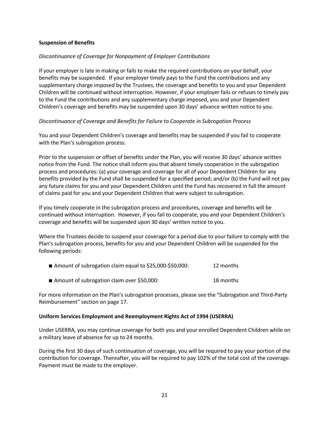### **Suspension of Benefits**

#### *Discontinuance of Coverage for Nonpayment of Employer Contributions*

If your employer is late in making or fails to make the required contributions on your behalf, your benefits may be suspended. If your employer timely pays to the Fund the contributions and any supplementary charge imposed by the Trustees, the coverage and benefits to you and your Dependent Children will be continued without interruption. However, if your employer fails or refuses to timely pay to the Fund the contributions and any supplementary charge imposed, you and your Dependent Children's coverage and benefits may be suspended upon 30 days' advance written notice to you.

#### *Discontinuance of Coverage and Benefits for Failure to Cooperate in Subrogation Process*

You and your Dependent Children's coverage and benefits may be suspended if you fail to cooperate with the Plan's subrogation process.

Prior to the suspension or offset of benefits under the Plan, you will receive 30 days' advance written notice from the Fund. The notice shall inform you that absent timely cooperation in the subrogation process and procedures: (a) your coverage and coverage for all of your Dependent Children for any benefits provided by the Fund shall be suspended for a specified period; and/or (b) the Fund will not pay any future claims for you and your Dependent Children until the Fund has recovered in full the amount of claims paid for you and your Dependent Children that were subject to subrogation.

If you timely cooperate in the subrogation process and procedures, coverage and benefits will be continued without interruption. However, if you fail to cooperate, you and your Dependent Children's coverage and benefits will be suspended upon 30 days' written notice to you.

Where the Trustees decide to suspend your coverage for a period due to your failure to comply with the Plan's subrogation process, benefits for you and your Dependent Children will be suspended for the following periods:

| ■ Amount of subrogation claim equal to \$25,000-\$50,000:<br>12 months |  |
|------------------------------------------------------------------------|--|
|------------------------------------------------------------------------|--|

■ Amount of subrogation claim over \$50,000: 18 months

For more information on the Plan's subrogation processes, please see the "Subrogation and Third-Party Reimbursement" section on page 17.

#### **Uniform Services Employment and Reemployment Rights Act of 1994 (USERRA)**

Under USERRA, you may continue coverage for both you and your enrolled Dependent Children while on a military leave of absence for up to 24 months.

During the first 30 days of such continuation of coverage, you will be required to pay your portion of the contribution for coverage. Thereafter, you will be required to pay 102% of the total cost of the coverage. Payment must be made to the employer.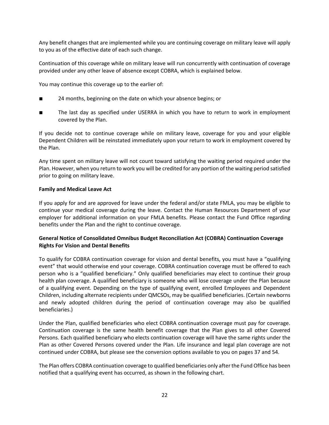Any benefit changes that are implemented while you are continuing coverage on military leave will apply to you as of the effective date of each such change.

Continuation of this coverage while on military leave will run concurrently with continuation of coverage provided under any other leave of absence except COBRA, which is explained below.

You may continue this coverage up to the earlier of:

- 24 months, beginning on the date on which your absence begins; or
- The last day as specified under USERRA in which you have to return to work in employment covered by the Plan.

If you decide not to continue coverage while on military leave, coverage for you and your eligible Dependent Children will be reinstated immediately upon your return to work in employment covered by the Plan.

Any time spent on military leave will not count toward satisfying the waiting period required under the Plan. However, when you return to work you will be credited for any portion of the waiting period satisfied prior to going on military leave.

#### **Family and Medical Leave Act**

If you apply for and are approved for leave under the federal and/or state FMLA, you may be eligible to continue your medical coverage during the leave. Contact the Human Resources Department of your employer for additional information on your FMLA benefits. Please contact the Fund Office regarding benefits under the Plan and the right to continue coverage.

# **General Notice of Consolidated Omnibus Budget Reconciliation Act (COBRA) Continuation Coverage Rights For Vision and Dental Benefits**

To qualify for COBRA continuation coverage for vision and dental benefits, you must have a "qualifying event" that would otherwise end your coverage. COBRA continuation coverage must be offered to each person who is a "qualified beneficiary." Only qualified beneficiaries may elect to continue their group health plan coverage. A qualified beneficiary is someone who will lose coverage under the Plan because of a qualifying event. Depending on the type of qualifying event, enrolled Employees and Dependent Children, including alternate recipients under QMCSOs, may be qualified beneficiaries. (Certain newborns and newly adopted children during the period of continuation coverage may also be qualified beneficiaries.)

Under the Plan, qualified beneficiaries who elect COBRA continuation coverage must pay for coverage. Continuation coverage is the same health benefit coverage that the Plan gives to all other Covered Persons. Each qualified beneficiary who elects continuation coverage will have the same rights under the Plan as other Covered Persons covered under the Plan. Life insurance and legal plan coverage are not continued under COBRA, but please see the conversion options available to you on pages 37 and 54.

The Plan offers COBRA continuation coverage to qualified beneficiaries only after the Fund Office has been notified that a qualifying event has occurred, as shown in the following chart.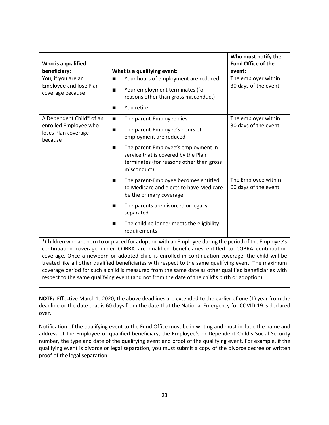| Who is a qualified<br>beneficiary:                                                                    | What is a qualifying event:                                                                                                                                                                                                                  | Who must notify the<br><b>Fund Office of the</b><br>event: |  |
|-------------------------------------------------------------------------------------------------------|----------------------------------------------------------------------------------------------------------------------------------------------------------------------------------------------------------------------------------------------|------------------------------------------------------------|--|
| You, if you are an<br>Employee and lose Plan<br>coverage because                                      | Your hours of employment are reduced<br>$\blacksquare$<br>Your employment terminates (for<br>■<br>reasons other than gross misconduct)<br>You retire<br>■                                                                                    | The employer within<br>30 days of the event                |  |
| A Dependent Child* of an<br>enrolled Employee who<br>loses Plan coverage<br>because                   | The parent-Employee dies<br>■<br>The parent-Employee's hours of<br>п<br>employment are reduced<br>The parent-Employee's employment in<br>п<br>service that is covered by the Plan<br>terminates (for reasons other than gross<br>misconduct) | The employer within<br>30 days of the event                |  |
|                                                                                                       | The parent-Employee becomes entitled<br>■<br>to Medicare and elects to have Medicare<br>be the primary coverage<br>The parents are divorced or legally<br>■<br>separated<br>The child no longer meets the eligibility<br>п<br>requirements   | The Employee within<br>60 days of the event                |  |
| *Children who are born to or placed for adoption with an Employee during the period of the Employee's |                                                                                                                                                                                                                                              |                                                            |  |

continuation coverage under COBRA are qualified beneficiaries entitled to COBRA continuation coverage. Once a newborn or adopted child is enrolled in continuation coverage, the child will be treated like all other qualified beneficiaries with respect to the same qualifying event. The maximum coverage period for such a child is measured from the same date as other qualified beneficiaries with respect to the same qualifying event (and not from the date of the child's birth or adoption).

**NOTE:** Effective March 1, 2020, the above deadlines are extended to the earlier of one (1) year from the deadline or the date that is 60 days from the date that the National Emergency for COVID-19 is declared over.

Notification of the qualifying event to the Fund Office must be in writing and must include the name and address of the Employee or qualified beneficiary, the Employee's or Dependent Child's Social Security number, the type and date of the qualifying event and proof of the qualifying event. For example, if the qualifying event is divorce or legal separation, you must submit a copy of the divorce decree or written proof of the legal separation.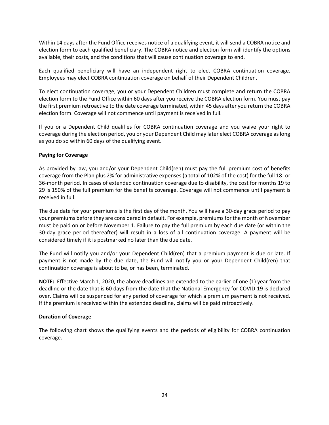Within 14 days after the Fund Office receives notice of a qualifying event, it will send a COBRA notice and election form to each qualified beneficiary. The COBRA notice and election form will identify the options available, their costs, and the conditions that will cause continuation coverage to end.

Each qualified beneficiary will have an independent right to elect COBRA continuation coverage. Employees may elect COBRA continuation coverage on behalf of their Dependent Children.

To elect continuation coverage, you or your Dependent Children must complete and return the COBRA election form to the Fund Office within 60 days after you receive the COBRA election form. You must pay the first premium retroactive to the date coverage terminated, within 45 days after you return the COBRA election form. Coverage will not commence until payment is received in full.

If you or a Dependent Child qualifies for COBRA continuation coverage and you waive your right to coverage during the election period, you or your Dependent Child may later elect COBRA coverage as long as you do so within 60 days of the qualifying event.

### **Paying for Coverage**

As provided by law, you and/or your Dependent Child(ren) must pay the full premium cost of benefits coverage from the Plan plus 2% for administrative expenses (a total of 102% of the cost) for the full 18- or 36-month period. In cases of extended continuation coverage due to disability, the cost for months 19 to 29 is 150% of the full premium for the benefits coverage. Coverage will not commence until payment is received in full.

The due date for your premiums is the first day of the month. You will have a 30-day grace period to pay your premiums before they are considered in default. For example, premiums for the month of November must be paid on or before November 1. Failure to pay the full premium by each due date (or within the 30-day grace period thereafter) will result in a loss of all continuation coverage. A payment will be considered timely if it is postmarked no later than the due date.

The Fund will notify you and/or your Dependent Child(ren) that a premium payment is due or late. If payment is not made by the due date, the Fund will notify you or your Dependent Child(ren) that continuation coverage is about to be, or has been, terminated.

**NOTE:** Effective March 1, 2020, the above deadlines are extended to the earlier of one (1) year from the deadline or the date that is 60 days from the date that the National Emergency for COVID-19 is declared over. Claims will be suspended for any period of coverage for which a premium payment is not received. If the premium is received within the extended deadline, claims will be paid retroactively.

### **Duration of Coverage**

The following chart shows the qualifying events and the periods of eligibility for COBRA continuation coverage.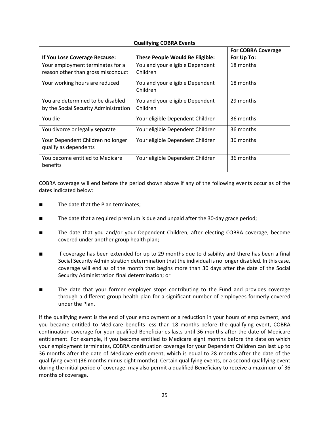| <b>Qualifying COBRA Events</b>                                             |                                             |                           |  |
|----------------------------------------------------------------------------|---------------------------------------------|---------------------------|--|
|                                                                            |                                             | <b>For COBRA Coverage</b> |  |
| If You Lose Coverage Because:                                              | <b>These People Would Be Eligible:</b>      | For Up To:                |  |
| Your employment terminates for a<br>reason other than gross misconduct     | You and your eligible Dependent<br>Children | 18 months                 |  |
| Your working hours are reduced                                             | You and your eligible Dependent<br>Children | 18 months                 |  |
| You are determined to be disabled<br>by the Social Security Administration | You and your eligible Dependent<br>Children | 29 months                 |  |
| You die                                                                    | Your eligible Dependent Children            | 36 months                 |  |
| You divorce or legally separate                                            | Your eligible Dependent Children            | 36 months                 |  |
| Your Dependent Children no longer<br>qualify as dependents                 | Your eligible Dependent Children            | 36 months                 |  |
| You become entitled to Medicare<br>benefits                                | Your eligible Dependent Children            | 36 months                 |  |

COBRA coverage will end before the period shown above if any of the following events occur as of the dates indicated below:

- The date that the Plan terminates;
- The date that a required premium is due and unpaid after the 30-day grace period;
- The date that you and/or your Dependent Children, after electing COBRA coverage, become covered under another group health plan;
- If coverage has been extended for up to 29 months due to disability and there has been a final Social Security Administration determination that the individual is no longer disabled. In this case, coverage will end as of the month that begins more than 30 days after the date of the Social Security Administration final determination; or
- The date that your former employer stops contributing to the Fund and provides coverage through a different group health plan for a significant number of employees formerly covered under the Plan.

If the qualifying event is the end of your employment or a reduction in your hours of employment, and you became entitled to Medicare benefits less than 18 months before the qualifying event, COBRA continuation coverage for your qualified Beneficiaries lasts until 36 months after the date of Medicare entitlement. For example, if you become entitled to Medicare eight months before the date on which your employment terminates, COBRA continuation coverage for your Dependent Children can last up to 36 months after the date of Medicare entitlement, which is equal to 28 months after the date of the qualifying event (36 months minus eight months). Certain qualifying events, or a second qualifying event during the initial period of coverage, may also permit a qualified Beneficiary to receive a maximum of 36 months of coverage.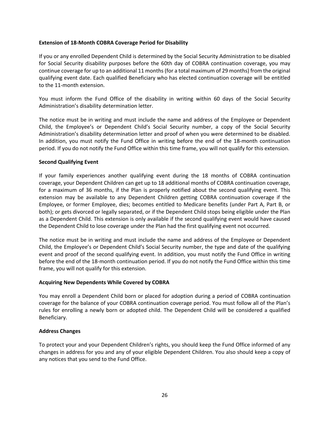### **Extension of 18-Month COBRA Coverage Period for Disability**

If you or any enrolled Dependent Child is determined by the Social Security Administration to be disabled for Social Security disability purposes before the 60th day of COBRA continuation coverage, you may continue coverage for up to an additional 11 months (for a total maximum of 29 months) from the original qualifying event date. Each qualified Beneficiary who has elected continuation coverage will be entitled to the 11-month extension.

You must inform the Fund Office of the disability in writing within 60 days of the Social Security Administration's disability determination letter.

The notice must be in writing and must include the name and address of the Employee or Dependent Child, the Employee's or Dependent Child's Social Security number, a copy of the Social Security Administration's disability determination letter and proof of when you were determined to be disabled. In addition, you must notify the Fund Office in writing before the end of the 18-month continuation period. If you do not notify the Fund Office within this time frame, you will not qualify for this extension.

#### **Second Qualifying Event**

If your family experiences another qualifying event during the 18 months of COBRA continuation coverage, your Dependent Children can get up to 18 additional months of COBRA continuation coverage, for a maximum of 36 months, if the Plan is properly notified about the second qualifying event. This extension may be available to any Dependent Children getting COBRA continuation coverage if the Employee, or former Employee, dies; becomes entitled to Medicare benefits (under Part A, Part B, or both); or gets divorced or legally separated, or if the Dependent Child stops being eligible under the Plan as a Dependent Child. This extension is only available if the second qualifying event would have caused the Dependent Child to lose coverage under the Plan had the first qualifying event not occurred.

The notice must be in writing and must include the name and address of the Employee or Dependent Child, the Employee's or Dependent Child's Social Security number, the type and date of the qualifying event and proof of the second qualifying event. In addition, you must notify the Fund Office in writing before the end of the 18-month continuation period. If you do not notify the Fund Office within this time frame, you will not qualify for this extension.

### **Acquiring New Dependents While Covered by COBRA**

You may enroll a Dependent Child born or placed for adoption during a period of COBRA continuation coverage for the balance of your COBRA continuation coverage period. You must follow all of the Plan's rules for enrolling a newly born or adopted child. The Dependent Child will be considered a qualified Beneficiary.

### **Address Changes**

To protect your and your Dependent Children's rights, you should keep the Fund Office informed of any changes in address for you and any of your eligible Dependent Children. You also should keep a copy of any notices that you send to the Fund Office.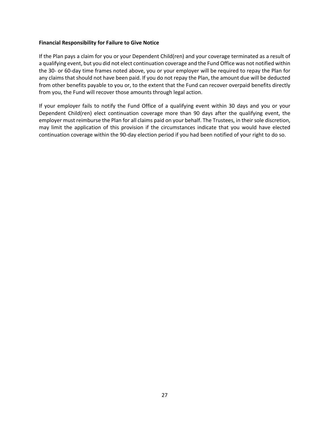#### **Financial Responsibility for Failure to Give Notice**

If the Plan pays a claim for you or your Dependent Child(ren) and your coverage terminated as a result of a qualifying event, but you did not elect continuation coverage and the Fund Office was not notified within the 30- or 60-day time frames noted above, you or your employer will be required to repay the Plan for any claims that should not have been paid. If you do not repay the Plan, the amount due will be deducted from other benefits payable to you or, to the extent that the Fund can recover overpaid benefits directly from you, the Fund will recover those amounts through legal action.

If your employer fails to notify the Fund Office of a qualifying event within 30 days and you or your Dependent Child(ren) elect continuation coverage more than 90 days after the qualifying event, the employer must reimburse the Plan for all claims paid on your behalf. The Trustees, in their sole discretion, may limit the application of this provision if the circumstances indicate that you would have elected continuation coverage within the 90-day election period if you had been notified of your right to do so.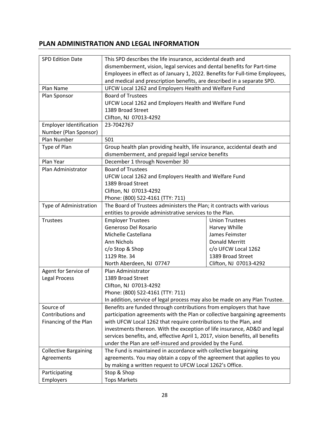# **PLAN ADMINISTRATION AND LEGAL INFORMATION**

| <b>SPD Edition Date</b>        | This SPD describes the life insurance, accidental death and                    |                        |  |  |
|--------------------------------|--------------------------------------------------------------------------------|------------------------|--|--|
|                                | dismemberment, vision, legal services and dental benefits for Part-time        |                        |  |  |
|                                | Employees in effect as of January 1, 2022. Benefits for Full-time Employees,   |                        |  |  |
|                                | and medical and prescription benefits, are described in a separate SPD.        |                        |  |  |
| Plan Name                      | UFCW Local 1262 and Employers Health and Welfare Fund                          |                        |  |  |
| Plan Sponsor                   | <b>Board of Trustees</b>                                                       |                        |  |  |
|                                | UFCW Local 1262 and Employers Health and Welfare Fund                          |                        |  |  |
|                                | 1389 Broad Street                                                              |                        |  |  |
|                                | Clifton, NJ 07013-4292                                                         |                        |  |  |
| <b>Employer Identification</b> | 23-7042767                                                                     |                        |  |  |
| Number (Plan Sponsor)          |                                                                                |                        |  |  |
| Plan Number                    | 501                                                                            |                        |  |  |
| Type of Plan                   | Group health plan providing health, life insurance, accidental death and       |                        |  |  |
|                                | dismemberment, and prepaid legal service benefits                              |                        |  |  |
| Plan Year                      | December 1 through November 30                                                 |                        |  |  |
| Plan Administrator             | <b>Board of Trustees</b>                                                       |                        |  |  |
|                                | UFCW Local 1262 and Employers Health and Welfare Fund                          |                        |  |  |
|                                | 1389 Broad Street                                                              |                        |  |  |
|                                | Clifton, NJ 07013-4292                                                         |                        |  |  |
|                                | Phone: (800) 522-4161 (TTY: 711)                                               |                        |  |  |
| Type of Administration         | The Board of Trustees administers the Plan; it contracts with various          |                        |  |  |
|                                | entities to provide administrative services to the Plan.                       |                        |  |  |
| Trustees                       | <b>Employer Trustees</b>                                                       | <b>Union Trustees</b>  |  |  |
|                                | Generoso Del Rosario                                                           | Harvey Whille          |  |  |
|                                | Michelle Castellana                                                            | James Feimster         |  |  |
|                                | Ann Nichols                                                                    | <b>Donald Merritt</b>  |  |  |
|                                | c/o Stop & Shop                                                                | c/o UFCW Local 1262    |  |  |
|                                | 1129 Rte. 34                                                                   | 1389 Broad Street      |  |  |
|                                | North Aberdeen, NJ 07747                                                       | Clifton, NJ 07013-4292 |  |  |
| Agent for Service of           | Plan Administrator                                                             |                        |  |  |
| <b>Legal Process</b>           | 1389 Broad Street                                                              |                        |  |  |
|                                | Clifton, NJ 07013-4292                                                         |                        |  |  |
|                                | Phone: (800) 522-4161 (TTY: 711)                                               |                        |  |  |
|                                | In addition, service of legal process may also be made on any Plan Trustee.    |                        |  |  |
| Source of                      | Benefits are funded through contributions from employers that have             |                        |  |  |
| Contributions and              | participation agreements with the Plan or collective bargaining agreements     |                        |  |  |
| Financing of the Plan          | with UFCW Local 1262 that require contributions to the Plan, and               |                        |  |  |
|                                | investments thereon. With the exception of life insurance, AD&D and legal      |                        |  |  |
|                                | services benefits, and, effective April 1, 2017, vision benefits, all benefits |                        |  |  |
|                                | under the Plan are self-insured and provided by the Fund.                      |                        |  |  |
| <b>Collective Bargaining</b>   | The Fund is maintained in accordance with collective bargaining                |                        |  |  |
| Agreements                     | agreements. You may obtain a copy of the agreement that applies to you         |                        |  |  |
|                                | by making a written request to UFCW Local 1262's Office.                       |                        |  |  |
| Participating                  | Stop & Shop                                                                    |                        |  |  |
| Employers                      | <b>Tops Markets</b>                                                            |                        |  |  |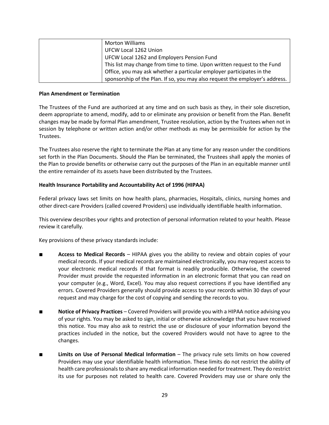| <b>Morton Williams</b>                                                       |
|------------------------------------------------------------------------------|
| UFCW Local 1262 Union                                                        |
| UFCW Local 1262 and Employers Pension Fund                                   |
| This list may change from time to time. Upon written request to the Fund     |
| Office, you may ask whether a particular employer participates in the        |
| sponsorship of the Plan. If so, you may also request the employer's address. |

#### **Plan Amendment or Termination**

The Trustees of the Fund are authorized at any time and on such basis as they, in their sole discretion, deem appropriate to amend, modify, add to or eliminate any provision or benefit from the Plan. Benefit changes may be made by formal Plan amendment, Trustee resolution, action by the Trustees when not in session by telephone or written action and/or other methods as may be permissible for action by the Trustees.

The Trustees also reserve the right to terminate the Plan at any time for any reason under the conditions set forth in the Plan Documents. Should the Plan be terminated, the Trustees shall apply the monies of the Plan to provide benefits or otherwise carry out the purposes of the Plan in an equitable manner until the entire remainder of its assets have been distributed by the Trustees.

### **Health Insurance Portability and Accountability Act of 1996 (HIPAA)**

Federal privacy laws set limits on how health plans, pharmacies, Hospitals, clinics, nursing homes and other direct-care Providers (called covered Providers) use individually identifiable health information.

This overview describes your rights and protection of personal information related to your health. Please review it carefully.

Key provisions of these privacy standards include:

- **Access to Medical Records** HIPAA gives you the ability to review and obtain copies of your medical records. If your medical records are maintained electronically, you may request access to your electronic medical records if that format is readily producible. Otherwise, the covered Provider must provide the requested information in an electronic format that you can read on your computer (e.g., Word, Excel). You may also request corrections if you have identified any errors. Covered Providers generally should provide access to your records within 30 days of your request and may charge for the cost of copying and sending the records to you.
- **Notice of Privacy Practices** Covered Providers will provide you with a HIPAA notice advising you of your rights. You may be asked to sign, initial or otherwise acknowledge that you have received this notice. You may also ask to restrict the use or disclosure of your information beyond the practices included in the notice, but the covered Providers would not have to agree to the changes.
- **Limits on Use of Personal Medical Information** The privacy rule sets limits on how covered Providers may use your identifiable health information. These limits do not restrict the ability of health care professionals to share any medical information needed for treatment. They do restrict its use for purposes not related to health care. Covered Providers may use or share only the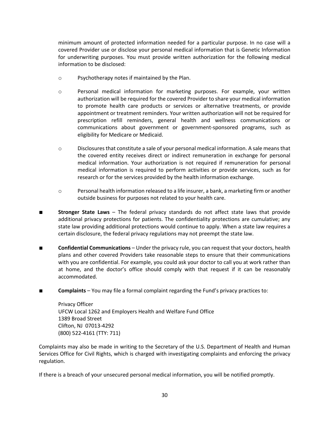minimum amount of protected information needed for a particular purpose. In no case will a covered Provider use or disclose your personal medical information that is Genetic Information for underwriting purposes. You must provide written authorization for the following medical information to be disclosed:

- o Psychotherapy notes if maintained by the Plan.
- o Personal medical information for marketing purposes. For example, your written authorization will be required for the covered Provider to share your medical information to promote health care products or services or alternative treatments, or provide appointment or treatment reminders. Your written authorization will not be required for prescription refill reminders, general health and wellness communications or communications about government or government-sponsored programs, such as eligibility for Medicare or Medicaid.
- o Disclosures that constitute a sale of your personal medical information. A sale means that the covered entity receives direct or indirect remuneration in exchange for personal medical information. Your authorization is not required if remuneration for personal medical information is required to perform activities or provide services, such as for research or for the services provided by the health information exchange.
- $\circ$  Personal health information released to a life insurer, a bank, a marketing firm or another outside business for purposes not related to your health care.
- **Stronger State Laws** The federal privacy standards do not affect state laws that provide additional privacy protections for patients. The confidentiality protections are cumulative; any state law providing additional protections would continue to apply. When a state law requires a certain disclosure, the federal privacy regulations may not preempt the state law.
- **Confidential Communications** Under the privacy rule, you can request that your doctors, health plans and other covered Providers take reasonable steps to ensure that their communications with you are confidential. For example, you could ask your doctor to call you at work rather than at home, and the doctor's office should comply with that request if it can be reasonably accommodated.
- **Complaints** You may file a formal complaint regarding the Fund's privacy practices to:

Privacy Officer UFCW Local 1262 and Employers Health and Welfare Fund Office 1389 Broad Street Clifton, NJ 07013-4292 (800) 522-4161 (TTY: 711)

Complaints may also be made in writing to the Secretary of the U.S. Department of Health and Human Services Office for Civil Rights, which is charged with investigating complaints and enforcing the privacy regulation.

If there is a breach of your unsecured personal medical information, you will be notified promptly.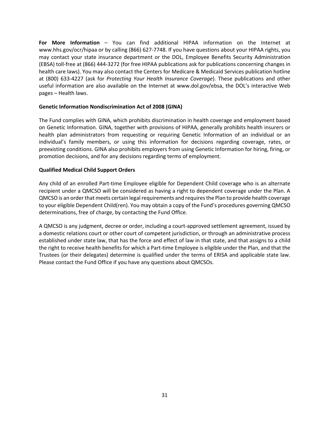**For More Information** – You can find additional HIPAA information on the Internet at www.hhs.gov/ocr/hipaa or by calling (866) 627-7748. If you have questions about your HIPAA rights, you may contact your state insurance department or the DOL, Employee Benefits Security Administration (EBSA) toll-free at (866) 444-3272 (for free HIPAA publications ask for publications concerning changes in health care laws). You may also contact the Centers for Medicare & Medicaid Services publication hotline at (800) 633-4227 (ask for *Protecting Your Health Insurance Coverage*). These publications and other useful information are also available on the Internet at www.dol.gov/ebsa, the DOL's interactive Web pages – Health laws.

#### **Genetic Information Nondiscrimination Act of 2008 (GINA)**

The Fund complies with GINA, which prohibits discrimination in health coverage and employment based on Genetic Information. GINA, together with provisions of HIPAA, generally prohibits health insurers or health plan administrators from requesting or requiring Genetic Information of an individual or an individual's family members, or using this information for decisions regarding coverage, rates, or preexisting conditions. GINA also prohibits employers from using Genetic Information for hiring, firing, or promotion decisions, and for any decisions regarding terms of employment.

#### **Qualified Medical Child Support Orders**

Any child of an enrolled Part-time Employee eligible for Dependent Child coverage who is an alternate recipient under a QMCSO will be considered as having a right to dependent coverage under the Plan. A QMCSO is an order that meets certain legal requirements and requires the Plan to provide health coverage to your eligible Dependent Child(ren). You may obtain a copy of the Fund's procedures governing QMCSO determinations, free of charge, by contacting the Fund Office.

A QMCSO is any judgment, decree or order, including a court-approved settlement agreement, issued by a domestic relations court or other court of competent jurisdiction, or through an administrative process established under state law, that has the force and effect of law in that state, and that assigns to a child the right to receive health benefits for which a Part-time Employee is eligible under the Plan, and that the Trustees (or their delegates) determine is qualified under the terms of ERISA and applicable state law. Please contact the Fund Office if you have any questions about QMCSOs.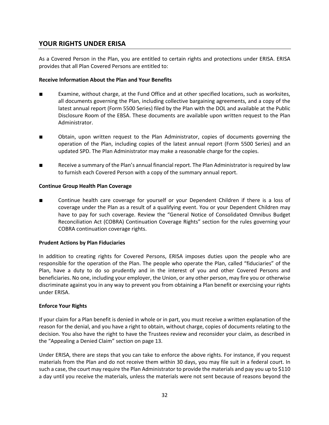# **YOUR RIGHTS UNDER ERISA**

As a Covered Person in the Plan, you are entitled to certain rights and protections under ERISA. ERISA provides that all Plan Covered Persons are entitled to:

# **Receive Information About the Plan and Your Benefits**

- Examine, without charge, at the Fund Office and at other specified locations, such as worksites, all documents governing the Plan, including collective bargaining agreements, and a copy of the latest annual report (Form 5500 Series) filed by the Plan with the DOL and available at the Public Disclosure Room of the EBSA. These documents are available upon written request to the Plan Administrator.
- Obtain, upon written request to the Plan Administrator, copies of documents governing the operation of the Plan, including copies of the latest annual report (Form 5500 Series) and an updated SPD. The Plan Administrator may make a reasonable charge for the copies.
- Receive a summary of the Plan's annual financial report. The Plan Administrator is required by law to furnish each Covered Person with a copy of the summary annual report.

#### **Continue Group Health Plan Coverage**

Continue health care coverage for yourself or your Dependent Children if there is a loss of coverage under the Plan as a result of a qualifying event. You or your Dependent Children may have to pay for such coverage. Review the "General Notice of Consolidated Omnibus Budget Reconciliation Act (COBRA) Continuation Coverage Rights" section for the rules governing your COBRA continuation coverage rights.

#### **Prudent Actions by Plan Fiduciaries**

In addition to creating rights for Covered Persons, ERISA imposes duties upon the people who are responsible for the operation of the Plan. The people who operate the Plan, called "fiduciaries" of the Plan, have a duty to do so prudently and in the interest of you and other Covered Persons and beneficiaries. No one, including your employer, the Union, or any other person, may fire you or otherwise discriminate against you in any way to prevent you from obtaining a Plan benefit or exercising your rights under ERISA.

#### **Enforce Your Rights**

If your claim for a Plan benefit is denied in whole or in part, you must receive a written explanation of the reason for the denial, and you have a right to obtain, without charge, copies of documents relating to the decision. You also have the right to have the Trustees review and reconsider your claim, as described in the "Appealing a Denied Claim" section on page 13.

Under ERISA, there are steps that you can take to enforce the above rights. For instance, if you request materials from the Plan and do not receive them within 30 days, you may file suit in a federal court. In such a case, the court may require the Plan Administrator to provide the materials and pay you up to \$110 a day until you receive the materials, unless the materials were not sent because of reasons beyond the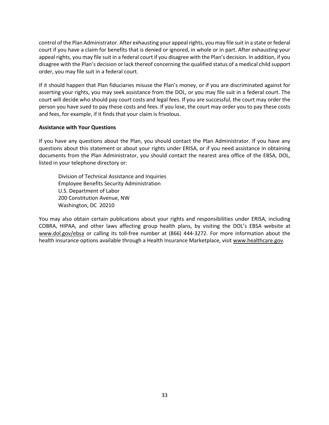control of the Plan Administrator. After exhausting your appeal rights, you may file suit in a state or federal court if you have a claim for benefits that is denied or ignored, in whole or in part. After exhausting your appeal rights, you may file suit in a federal court if you disagree with the Plan's decision. In addition, if you disagree with the Plan's decision or lack thereof concerning the qualified status of a medical child support order, you may file suit in a federal court.

If it should happen that Plan fiduciaries misuse the Plan's money, or if you are discriminated against for asserting your rights, you may seek assistance from the DOL, or you may file suit in a federal court. The court will decide who should pay court costs and legal fees. If you are successful, the court may order the person you have sued to pay these costs and fees. If you lose, the court may order you to pay these costs and fees, for example, if it finds that your claim is frivolous.

#### **Assistance with Your Questions**

If you have any questions about the Plan, you should contact the Plan Administrator. If you have any questions about this statement or about your rights under ERISA, or if you need assistance in obtaining documents from the Plan Administrator, you should contact the nearest area office of the EBSA, DOL, listed in your telephone directory or:

Division of Technical Assistance and Inquiries Employee Benefits Security Administration U.S. Department of Labor 200 Constitution Avenue, NW Washington, DC 20210

You may also obtain certain publications about your rights and responsibilities under ERISA, including COBRA, HIPAA, and other laws affecting group health plans, by visiting the DOL's EBSA website at www.dol.gov/ebsa or calling its toll-free number at (866) 444-3272. For more information about the health insurance options available through a Health Insurance Marketplace, visit www.healthcare.gov.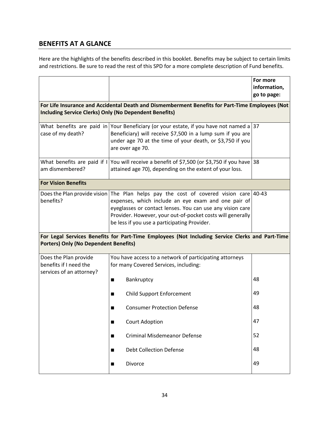# **BENEFITS AT A GLANCE**

Here are the highlights of the benefits described in this booklet. Benefits may be subject to certain limits and restrictions. Be sure to read the rest of this SPD for a more complete description of Fund benefits.

|                                                                             |                                                                                                                                                                                                                                                                                                                         | For more<br>information,<br>go to page: |
|-----------------------------------------------------------------------------|-------------------------------------------------------------------------------------------------------------------------------------------------------------------------------------------------------------------------------------------------------------------------------------------------------------------------|-----------------------------------------|
| <b>Including Service Clerks) Only (No Dependent Benefits)</b>               | For Life Insurance and Accidental Death and Dismemberment Benefits for Part-Time Employees (Not                                                                                                                                                                                                                         |                                         |
| case of my death?                                                           | What benefits are paid in Your Beneficiary (or your estate, if you have not named a 37<br>Beneficiary) will receive \$7,500 in a lump sum if you are<br>under age 70 at the time of your death, or \$3,750 if you<br>are over age 70.                                                                                   |                                         |
| am dismembered?                                                             | What benefits are paid if I You will receive a benefit of \$7,500 (or \$3,750 if you have 38<br>attained age 70), depending on the extent of your loss.                                                                                                                                                                 |                                         |
| <b>For Vision Benefits</b>                                                  |                                                                                                                                                                                                                                                                                                                         |                                         |
| benefits?                                                                   | Does the Plan provide vision The Plan helps pay the cost of covered vision care 40-43<br>expenses, which include an eye exam and one pair of<br>eyeglasses or contact lenses. You can use any vision care<br>Provider. However, your out-of-pocket costs will generally<br>be less if you use a participating Provider. |                                         |
| <b>Porters) Only (No Dependent Benefits)</b>                                | For Legal Services Benefits for Part-Time Employees (Not Including Service Clerks and Part-Time                                                                                                                                                                                                                         |                                         |
| Does the Plan provide<br>benefits if I need the<br>services of an attorney? | You have access to a network of participating attorneys<br>for many Covered Services, including:                                                                                                                                                                                                                        |                                         |
|                                                                             | Bankruptcy                                                                                                                                                                                                                                                                                                              | 48                                      |
|                                                                             | <b>Child Support Enforcement</b>                                                                                                                                                                                                                                                                                        | 49                                      |
|                                                                             | <b>Consumer Protection Defense</b><br>▅                                                                                                                                                                                                                                                                                 | 48                                      |
|                                                                             | <b>Court Adoption</b><br>■                                                                                                                                                                                                                                                                                              | 47                                      |
|                                                                             | <b>Criminal Misdemeanor Defense</b><br>■                                                                                                                                                                                                                                                                                | 52                                      |
|                                                                             | <b>Debt Collection Defense</b><br>■                                                                                                                                                                                                                                                                                     | 48                                      |
|                                                                             | Divorce                                                                                                                                                                                                                                                                                                                 | 49                                      |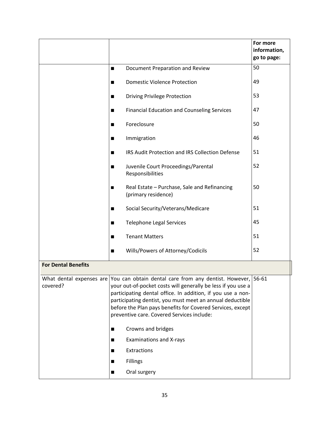|                            |                |                                                                                                                                                                                                                                                                                                                                                                                              | For more<br>information,<br>go to page: |
|----------------------------|----------------|----------------------------------------------------------------------------------------------------------------------------------------------------------------------------------------------------------------------------------------------------------------------------------------------------------------------------------------------------------------------------------------------|-----------------------------------------|
|                            | п              | Document Preparation and Review                                                                                                                                                                                                                                                                                                                                                              | 50                                      |
|                            | ■              | <b>Domestic Violence Protection</b>                                                                                                                                                                                                                                                                                                                                                          | 49                                      |
|                            |                | <b>Driving Privilege Protection</b>                                                                                                                                                                                                                                                                                                                                                          | 53                                      |
|                            | ■              | <b>Financial Education and Counseling Services</b>                                                                                                                                                                                                                                                                                                                                           | 47                                      |
|                            | ■              | Foreclosure                                                                                                                                                                                                                                                                                                                                                                                  | 50                                      |
|                            | ■              | Immigration                                                                                                                                                                                                                                                                                                                                                                                  | 46                                      |
|                            | ■              | IRS Audit Protection and IRS Collection Defense                                                                                                                                                                                                                                                                                                                                              | 51                                      |
|                            | ■              | Juvenile Court Proceedings/Parental<br>Responsibilities                                                                                                                                                                                                                                                                                                                                      | 52                                      |
|                            | п              | Real Estate - Purchase, Sale and Refinancing<br>(primary residence)                                                                                                                                                                                                                                                                                                                          | 50                                      |
|                            | ■              | Social Security/Veterans/Medicare                                                                                                                                                                                                                                                                                                                                                            | 51                                      |
|                            | п              | <b>Telephone Legal Services</b>                                                                                                                                                                                                                                                                                                                                                              | 45                                      |
|                            | ■              | <b>Tenant Matters</b>                                                                                                                                                                                                                                                                                                                                                                        | 51                                      |
|                            |                | Wills/Powers of Attorney/Codicils                                                                                                                                                                                                                                                                                                                                                            | 52                                      |
| <b>For Dental Benefits</b> |                |                                                                                                                                                                                                                                                                                                                                                                                              |                                         |
| covered?                   |                | What dental expenses are You can obtain dental care from any dentist. However, 56-61<br>your out-of-pocket costs will generally be less if you use a<br>participating dental office. In addition, if you use a non-<br>participating dentist, you must meet an annual deductible<br>before the Plan pays benefits for Covered Services, except<br>preventive care. Covered Services include: |                                         |
|                            | $\blacksquare$ | Crowns and bridges                                                                                                                                                                                                                                                                                                                                                                           |                                         |
|                            | ш              | <b>Examinations and X-rays</b><br>Extractions                                                                                                                                                                                                                                                                                                                                                |                                         |
|                            | $\blacksquare$ | Fillings                                                                                                                                                                                                                                                                                                                                                                                     |                                         |
|                            | $\blacksquare$ |                                                                                                                                                                                                                                                                                                                                                                                              |                                         |
|                            | ■              | Oral surgery                                                                                                                                                                                                                                                                                                                                                                                 |                                         |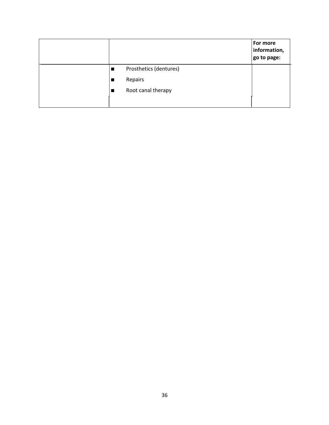|  |                        | For more<br>information,<br>go to page: |
|--|------------------------|-----------------------------------------|
|  | Prosthetics (dentures) |                                         |
|  | Repairs                |                                         |
|  | Root canal therapy     |                                         |
|  |                        |                                         |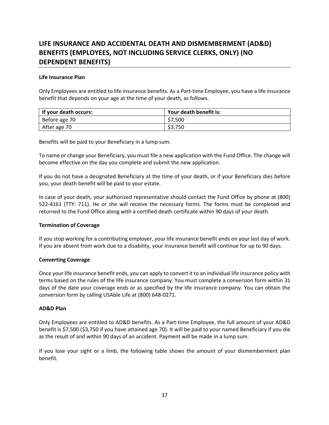# **LIFE INSURANCE AND ACCIDENTAL DEATH AND DISMEMBERMENT (AD&D) BENEFITS (EMPLOYEES, NOT INCLUDING SERVICE CLERKS, ONLY) (NO DEPENDENT BENEFITS)**

### **Life Insurance Plan**

Only Employees are entitled to life insurance benefits. As a Part-time Employee, you have a life insurance benefit that depends on your age at the time of your death, as follows.

| If your death occurs: | Your death benefit is: |
|-----------------------|------------------------|
| Before age 70         | \$7.500                |
| After age 70          | \$3,750                |

Benefits will be paid to your Beneficiary in a lump sum.

To name or change your Beneficiary, you must file a new application with the Fund Office. The change will become effective on the day you complete and submit the new application.

If you do not have a designated Beneficiary at the time of your death, or if your Beneficiary dies before you, your death benefit will be paid to your estate.

In case of your death, your authorized representative should contact the Fund Office by phone at (800) 522-4161 (TTY: 711). He or she will receive the necessary forms. The forms must be completed and returned to the Fund Office along with a certified death certificate within 90 days of your death.

### **Termination of Coverage**

If you stop working for a contributing employer, your life insurance benefit ends on your last day of work. If you are absent from work due to a disability, your insurance benefit will continue for up to 90 days.

### **Converting Coverage**

Once your life insurance benefit ends, you can apply to convert it to an individual life insurance policy with terms based on the rules of the life insurance company. You must complete a conversion form within 31 days of the date your coverage ends or as specified by the life insurance company. You can obtain the conversion form by calling USAble Life at (800) 648-0271.

### **AD&D Plan**

Only Employees are entitled to AD&D benefits. As a Part-time Employee, the full amount of your AD&D benefit is \$7,500 (\$3,750 if you have attained age 70). It will be paid to your named Beneficiary if you die as the result of and within 90 days of an accident. Payment will be made in a lump sum.

If you lose your sight or a limb, the following table shows the amount of your dismemberment plan benefit.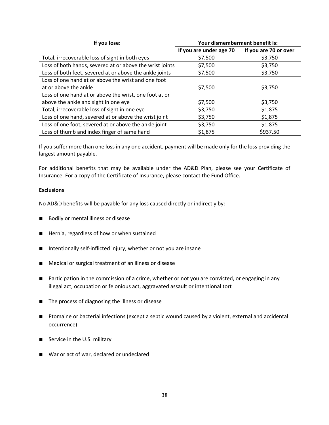| If you lose:                                             | Your dismemberment benefit is: |                       |  |
|----------------------------------------------------------|--------------------------------|-----------------------|--|
|                                                          | If you are under age 70        | If you are 70 or over |  |
| Total, irrecoverable loss of sight in both eyes          | \$7,500                        | \$3,750               |  |
| Loss of both hands, severed at or above the wrist joints | \$7,500                        | \$3,750               |  |
| Loss of both feet, severed at or above the ankle joints  | \$7,500                        | \$3,750               |  |
| Loss of one hand at or above the wrist and one foot      |                                |                       |  |
| at or above the ankle                                    | \$7,500                        | \$3,750               |  |
| Loss of one hand at or above the wrist, one foot at or   |                                |                       |  |
| above the ankle and sight in one eye                     | \$7,500                        | \$3,750               |  |
| Total, irrecoverable loss of sight in one eye            | \$3,750                        | \$1,875               |  |
| Loss of one hand, severed at or above the wrist joint    | \$3,750                        | \$1,875               |  |
| Loss of one foot, severed at or above the ankle joint    | \$3,750                        | \$1,875               |  |
| Loss of thumb and index finger of same hand              | \$1,875                        | \$937.50              |  |

If you suffer more than one loss in any one accident, payment will be made only for the loss providing the largest amount payable.

For additional benefits that may be available under the AD&D Plan, please see your Certificate of Insurance. For a copy of the Certificate of Insurance, please contact the Fund Office.

### **Exclusions**

No AD&D benefits will be payable for any loss caused directly or indirectly by:

- Bodily or mental illness or disease
- Hernia, regardless of how or when sustained
- Intentionally self-inflicted injury, whether or not you are insane
- Medical or surgical treatment of an illness or disease
- Participation in the commission of a crime, whether or not you are convicted, or engaging in any illegal act, occupation or felonious act, aggravated assault or intentional tort
- The process of diagnosing the illness or disease
- Ptomaine or bacterial infections (except a septic wound caused by a violent, external and accidental occurrence)
- Service in the U.S. military
- War or act of war, declared or undeclared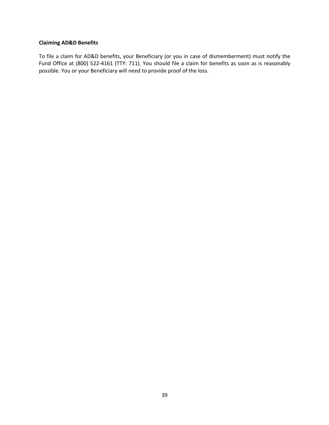#### **Claiming AD&D Benefits**

To file a claim for AD&D benefits, your Beneficiary (or you in case of dismemberment) must notify the Fund Office at (800) 522-4161 (TTY: 711). You should file a claim for benefits as soon as is reasonably possible. You or your Beneficiary will need to provide proof of the loss.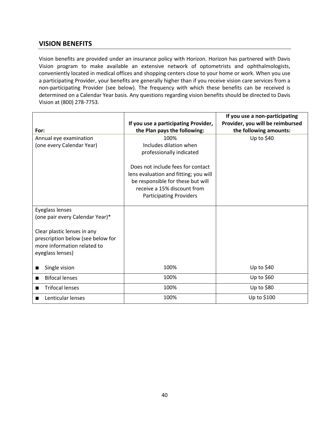# **VISION BENEFITS**

Vision benefits are provided under an insurance policy with Horizon. Horizon has partnered with Davis Vision program to make available an extensive network of optometrists and ophthalmologists, conveniently located in medical offices and shopping centers close to your home or work. When you use a participating Provider, your benefits are generally higher than if you receive vision care services from a non-participating Provider (see below). The frequency with which these benefits can be received is determined on a Calendar Year basis. Any questions regarding vision benefits should be directed to Davis Vision at (800) 278-7753.

|                                   | If you use a participating Provider,  | If you use a non-participating<br>Provider, you will be reimbursed |
|-----------------------------------|---------------------------------------|--------------------------------------------------------------------|
| For:                              | the Plan pays the following:          | the following amounts:                                             |
| Annual eye examination            | 100%                                  | Up to $$40$                                                        |
| (one every Calendar Year)         | Includes dilation when                |                                                                    |
|                                   | professionally indicated              |                                                                    |
|                                   | Does not include fees for contact     |                                                                    |
|                                   | lens evaluation and fitting; you will |                                                                    |
|                                   | be responsible for these but will     |                                                                    |
|                                   | receive a 15% discount from           |                                                                    |
|                                   | <b>Participating Providers</b>        |                                                                    |
|                                   |                                       |                                                                    |
| Eyeglass lenses                   |                                       |                                                                    |
| (one pair every Calendar Year)*   |                                       |                                                                    |
|                                   |                                       |                                                                    |
| Clear plastic lenses in any       |                                       |                                                                    |
| prescription below (see below for |                                       |                                                                    |
| more information related to       |                                       |                                                                    |
| eyeglass lenses)                  |                                       |                                                                    |
|                                   |                                       |                                                                    |
| Single vision                     | 100%                                  | Up to $$40$                                                        |
| <b>Bifocal lenses</b>             | 100%                                  | Up to $$60$                                                        |
| <b>Trifocal lenses</b>            | 100%                                  | Up to $$80$                                                        |
| Lenticular lenses                 | 100%                                  | Up to \$100                                                        |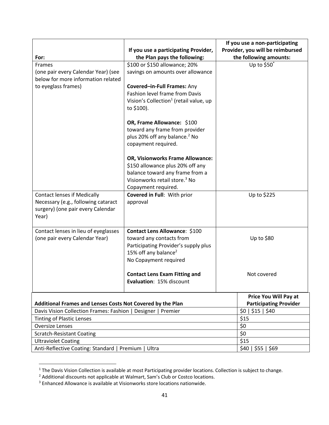| For:<br>Frames<br>(one pair every Calendar Year) (see<br>below for more information related<br>to eyeglass frames)      | If you use a participating Provider,<br>the Plan pays the following:<br>\$100 or \$150 allowance; 20%<br>savings on amounts over allowance<br>Covered-in-Full Frames: Any<br>Fashion level frame from Davis | If you use a non-participating<br>Provider, you will be reimbursed<br>the following amounts:<br>Up to \$50* |  |
|-------------------------------------------------------------------------------------------------------------------------|-------------------------------------------------------------------------------------------------------------------------------------------------------------------------------------------------------------|-------------------------------------------------------------------------------------------------------------|--|
|                                                                                                                         | Vision's Collection <sup>1</sup> (retail value, up<br>to \$100).<br>OR, Frame Allowance: \$100<br>toward any frame from provider<br>plus 20% off any balance. <sup>2</sup> No<br>copayment required.        |                                                                                                             |  |
|                                                                                                                         | <b>OR, Visionworks Frame Allowance:</b><br>\$150 allowance plus 20% off any<br>balance toward any frame from a<br>Visionworks retail store. <sup>3</sup> No<br>Copayment required.                          |                                                                                                             |  |
| <b>Contact lenses if Medically</b><br>Necessary (e.g., following cataract<br>surgery) (one pair every Calendar<br>Year) | Covered in Full: With prior<br>approval                                                                                                                                                                     | Up to \$225                                                                                                 |  |
| Contact lenses in lieu of eyeglasses<br>(one pair every Calendar Year)                                                  | Contact Lens Allowance: \$100<br>toward any contacts from<br>Participating Provider's supply plus<br>15% off any balance <sup>2</sup><br>No Copayment required                                              | Up to \$80                                                                                                  |  |
|                                                                                                                         | <b>Contact Lens Exam Fitting and</b><br>Evaluation: 15% discount                                                                                                                                            | Not covered                                                                                                 |  |
| Additional Frames and Lenses Costs Not Covered by the Plan                                                              |                                                                                                                                                                                                             | <b>Price You Will Pay at</b><br><b>Participating Provider</b>                                               |  |
| Davis Vision Collection Frames: Fashion   Designer   Premier                                                            |                                                                                                                                                                                                             | \$0   \$15   \$40                                                                                           |  |
| <b>Tinting of Plastic Lenses</b>                                                                                        |                                                                                                                                                                                                             | \$15                                                                                                        |  |
| <b>Oversize Lenses</b>                                                                                                  |                                                                                                                                                                                                             | \$0                                                                                                         |  |
| <b>Scratch-Resistant Coating</b>                                                                                        |                                                                                                                                                                                                             | \$0                                                                                                         |  |
| <b>Ultraviolet Coating</b>                                                                                              |                                                                                                                                                                                                             | \$15                                                                                                        |  |
| Anti-Reflective Coating: Standard  <br>Ultra<br>Premium                                                                 |                                                                                                                                                                                                             | \$40   \$55   \$69                                                                                          |  |

 $1$  The Davis Vision Collection is available at most Participating provider locations. Collection is subject to change.

 $<sup>2</sup>$  Additional discounts not applicable at Walmart, Sam's Club or Costco locations.</sup>

 $3$  Enhanced Allowance is available at Visionworks store locations nationwide.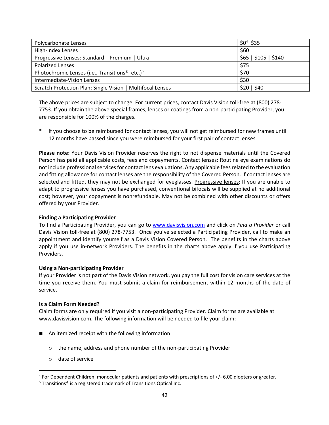| Polycarbonate Lenses                                        | $$0^4 - $35$         |
|-------------------------------------------------------------|----------------------|
| High-Index Lenses                                           | \$60                 |
| Progressive Lenses: Standard   Premium   Ultra              | \$65   \$105   \$140 |
| <b>Polarized Lenses</b>                                     | \$75                 |
| Photochromic Lenses (i.e., Transitions®, etc.) <sup>5</sup> | \$70                 |
| Intermediate-Vision Lenses                                  | \$30                 |
| Scratch Protection Plan: Single Vision   Multifocal Lenses  | \$20   \$40          |

The above prices are subject to change. For current prices, contact Davis Vision toll-free at (800) 278- 7753. If you obtain the above special frames, lenses or coatings from a non-participating Provider, you are responsible for 100% of the charges.

If you choose to be reimbursed for contact lenses, you will not get reimbursed for new frames until 12 months have passed since you were reimbursed for your first pair of contact lenses.

**Please note:** Your Davis Vision Provider reserves the right to not dispense materials until the Covered Person has paid all applicable costs, fees and copayments. Contact lenses: Routine eye examinations do not include professional services for contact lens evaluations. Any applicable fees related to the evaluation and fitting allowance for contact lenses are the responsibility of the Covered Person. If contact lenses are selected and fitted, they may not be exchanged for eyeglasses. Progressive lenses: If you are unable to adapt to progressive lenses you have purchased, conventional bifocals will be supplied at no additional cost; however, your copayment is nonrefundable. May not be combined with other discounts or offers offered by your Provider.

### **Finding a Participating Provider**

To find a Participating Provider, you can go to www.davisvision.com and click on *Find a Provider* or call Davis Vision toll-free at (800) 278-7753. Once you've selected a Participating Provider, call to make an appointment and identify yourself as a Davis Vision Covered Person. The benefits in the charts above apply if you use in-network Providers. The benefits in the charts above apply if you use Participating Providers.

### **Using a Non-participating Provider**

If your Provider is not part of the Davis Vision network, you pay the full cost for vision care services at the time you receive them. You must submit a claim for reimbursement within 12 months of the date of service.

### **Is a Claim Form Needed?**

Claim forms are only required if you visit a non-participating Provider. Claim forms are available at www.davisvision.com. The following information will be needed to file your claim:

- An itemized receipt with the following information
	- o the name, address and phone number of the non-participating Provider
	- o date of service

<sup>4</sup> For Dependent Children, monocular patients and patients with prescriptions of +/- 6.00 diopters or greater.

<sup>&</sup>lt;sup>5</sup> Transitions<sup>®</sup> is a registered trademark of Transitions Optical Inc.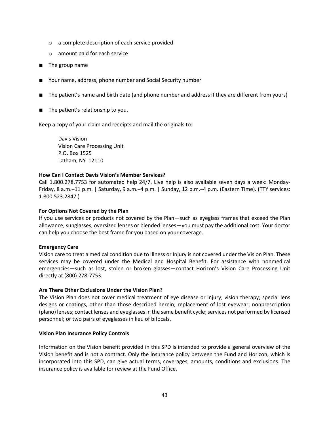- o a complete description of each service provided
- o amount paid for each service
- The group name
- Your name, address, phone number and Social Security number
- The patient's name and birth date (and phone number and address if they are different from yours)
- The patient's relationship to you.

Keep a copy of your claim and receipts and mail the originals to:

Davis Vision Vision Care Processing Unit P.O. Box 1525 Latham, NY 12110

### **How Can I Contact Davis Vision's Member Services?**

Call 1.800.278.7753 for automated help 24/7. Live help is also available seven days a week: Monday-Friday, 8 a.m.–11 p.m. | Saturday, 9 a.m.–4 p.m. | Sunday, 12 p.m.–4 p.m. (Eastern Time). (TTY services: 1.800.523.2847.)

### **For Options Not Covered by the Plan**

If you use services or products not covered by the Plan—such as eyeglass frames that exceed the Plan allowance, sunglasses, oversized lenses or blended lenses—you must pay the additional cost. Your doctor can help you choose the best frame for you based on your coverage.

### **Emergency Care**

Vision care to treat a medical condition due to Illness or Injury is not covered under the Vision Plan. These services may be covered under the Medical and Hospital Benefit. For assistance with nonmedical emergencies—such as lost, stolen or broken glasses—contact Horizon's Vision Care Processing Unit directly at (800) 278-7753.

### **Are There Other Exclusions Under the Vision Plan?**

The Vision Plan does not cover medical treatment of eye disease or injury; vision therapy; special lens designs or coatings, other than those described herein; replacement of lost eyewear; nonprescription (plano) lenses; contact lenses and eyeglasses in the same benefit cycle; services not performed by licensed personnel; or two pairs of eyeglasses in lieu of bifocals.

### **Vision Plan Insurance Policy Controls**

Information on the Vision benefit provided in this SPD is intended to provide a general overview of the Vision benefit and is not a contract. Only the insurance policy between the Fund and Horizon, which is incorporated into this SPD, can give actual terms, coverages, amounts, conditions and exclusions. The insurance policy is available for review at the Fund Office.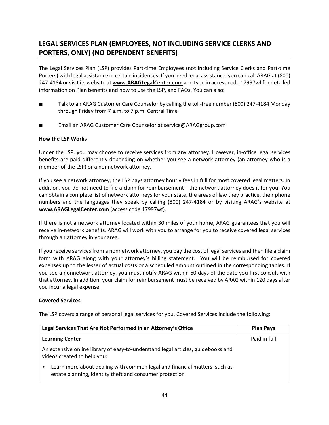# **LEGAL SERVICES PLAN (EMPLOYEES, NOT INCLUDING SERVICE CLERKS AND PORTERS, ONLY) (NO DEPENDENT BENEFITS)**

The Legal Services Plan (LSP) provides Part-time Employees (not including Service Clerks and Part-time Porters) with legal assistance in certain incidences. If you need legal assistance, you can call ARAG at (800) 247-4184 or visit its website at **www.ARAGLegalCenter.com** and type in access code 17997wf for detailed information on Plan benefits and how to use the LSP, and FAQs. You can also:

- Talk to an ARAG Customer Care Counselor by calling the toll-free number (800) 247-4184 Monday through Friday from 7 a.m. to 7 p.m. Central Time
- Email an ARAG Customer Care Counselor at service@ARAGgroup.com

# **How the LSP Works**

Under the LSP, you may choose to receive services from any attorney. However, in-office legal services benefits are paid differently depending on whether you see a network attorney (an attorney who is a member of the LSP) or a nonnetwork attorney.

If you see a network attorney, the LSP pays attorney hourly fees in full for most covered legal matters. In addition, you do not need to file a claim for reimbursement—the network attorney does it for you. You can obtain a complete list of network attorneys for your state, the areas of law they practice, their phone numbers and the languages they speak by calling (800) 247-4184 or by visiting ARAG's website at **www.ARAGLegalCenter.com** (access code 17997wf).

If there is not a network attorney located within 30 miles of your home, ARAG guarantees that you will receive in-network benefits. ARAG will work with you to arrange for you to receive covered legal services through an attorney in your area.

If you receive services from a nonnetwork attorney, you pay the cost of legal services and then file a claim form with ARAG along with your attorney's billing statement. You will be reimbursed for covered expenses up to the lesser of actual costs or a scheduled amount outlined in the corresponding tables. If you see a nonnetwork attorney, you must notify ARAG within 60 days of the date you first consult with that attorney. In addition, your claim for reimbursement must be received by ARAG within 120 days after you incur a legal expense.

### **Covered Services**

The LSP covers a range of personal legal services for you. Covered Services include the following:

| Legal Services That Are Not Performed in an Attorney's Office                                                                             | <b>Plan Pays</b> |
|-------------------------------------------------------------------------------------------------------------------------------------------|------------------|
| <b>Learning Center</b>                                                                                                                    | Paid in full     |
| An extensive online library of easy-to-understand legal articles, guidebooks and<br>videos created to help you:                           |                  |
| Learn more about dealing with common legal and financial matters, such as<br>٠<br>estate planning, identity theft and consumer protection |                  |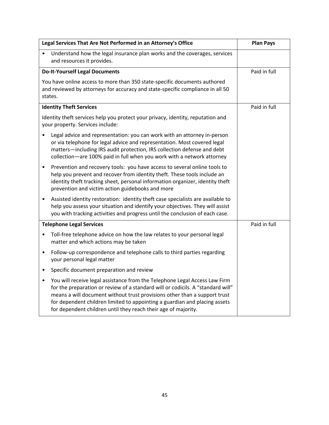| Legal Services That Are Not Performed in an Attorney's Office                                                                                                                                                                                                                                                                                                                                           | <b>Plan Pays</b> |
|---------------------------------------------------------------------------------------------------------------------------------------------------------------------------------------------------------------------------------------------------------------------------------------------------------------------------------------------------------------------------------------------------------|------------------|
| Understand how the legal insurance plan works and the coverages, services<br>and resources it provides.                                                                                                                                                                                                                                                                                                 |                  |
| <b>Do-It-Yourself Legal Documents</b>                                                                                                                                                                                                                                                                                                                                                                   | Paid in full     |
| You have online access to more than 350 state-specific documents authored<br>and reviewed by attorneys for accuracy and state-specific compliance in all 50<br>states.                                                                                                                                                                                                                                  |                  |
| <b>Identity Theft Services</b>                                                                                                                                                                                                                                                                                                                                                                          | Paid in full     |
| Identity theft services help you protect your privacy, identity, reputation and<br>your property. Services include:                                                                                                                                                                                                                                                                                     |                  |
| Legal advice and representation: you can work with an attorney in-person<br>or via telephone for legal advice and representation. Most covered legal<br>matters-including IRS audit protection, IRS collection defense and debt<br>collection-are 100% paid in full when you work with a network attorney                                                                                               |                  |
| Prevention and recovery tools: you have access to several online tools to<br>$\bullet$<br>help you prevent and recover from identity theft. These tools include an<br>identity theft tracking sheet, personal information organizer, identity theft<br>prevention and victim action guidebooks and more                                                                                                 |                  |
| Assisted identity restoration: identity theft case specialists are available to<br>$\bullet$<br>help you assess your situation and identify your objectives. They will assist<br>you with tracking activities and progress until the conclusion of each case.                                                                                                                                           |                  |
| <b>Telephone Legal Services</b>                                                                                                                                                                                                                                                                                                                                                                         | Paid in full     |
| Toll-free telephone advice on how the law relates to your personal legal<br>$\bullet$<br>matter and which actions may be taken                                                                                                                                                                                                                                                                          |                  |
| Follow-up correspondence and telephone calls to third parties regarding<br>$\bullet$<br>your personal legal matter                                                                                                                                                                                                                                                                                      |                  |
| Specific document preparation and review<br>$\bullet$                                                                                                                                                                                                                                                                                                                                                   |                  |
| You will receive legal assistance from the Telephone Legal Access Law Firm<br>$\bullet$<br>for the preparation or review of a standard will or codicils. A "standard will"<br>means a will document without trust provisions other than a support trust<br>for dependent children limited to appointing a guardian and placing assets<br>for dependent children until they reach their age of majority. |                  |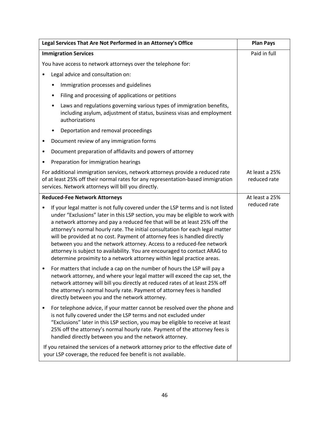| Legal Services That Are Not Performed in an Attorney's Office                                                                                                                                                                                                                                                                                                                                                                                                                                                                                                                                                                                               | <b>Plan Pays</b>               |
|-------------------------------------------------------------------------------------------------------------------------------------------------------------------------------------------------------------------------------------------------------------------------------------------------------------------------------------------------------------------------------------------------------------------------------------------------------------------------------------------------------------------------------------------------------------------------------------------------------------------------------------------------------------|--------------------------------|
| <b>Immigration Services</b>                                                                                                                                                                                                                                                                                                                                                                                                                                                                                                                                                                                                                                 | Paid in full                   |
| You have access to network attorneys over the telephone for:                                                                                                                                                                                                                                                                                                                                                                                                                                                                                                                                                                                                |                                |
| Legal advice and consultation on:                                                                                                                                                                                                                                                                                                                                                                                                                                                                                                                                                                                                                           |                                |
| Immigration processes and guidelines<br>٠                                                                                                                                                                                                                                                                                                                                                                                                                                                                                                                                                                                                                   |                                |
| Filing and processing of applications or petitions<br>٠                                                                                                                                                                                                                                                                                                                                                                                                                                                                                                                                                                                                     |                                |
| Laws and regulations governing various types of immigration benefits,<br>٠<br>including asylum, adjustment of status, business visas and employment<br>authorizations                                                                                                                                                                                                                                                                                                                                                                                                                                                                                       |                                |
| Deportation and removal proceedings<br>$\bullet$                                                                                                                                                                                                                                                                                                                                                                                                                                                                                                                                                                                                            |                                |
| Document review of any immigration forms                                                                                                                                                                                                                                                                                                                                                                                                                                                                                                                                                                                                                    |                                |
| Document preparation of affidavits and powers of attorney<br>$\bullet$                                                                                                                                                                                                                                                                                                                                                                                                                                                                                                                                                                                      |                                |
| Preparation for immigration hearings                                                                                                                                                                                                                                                                                                                                                                                                                                                                                                                                                                                                                        |                                |
| For additional immigration services, network attorneys provide a reduced rate<br>of at least 25% off their normal rates for any representation-based immigration<br>services. Network attorneys will bill you directly.                                                                                                                                                                                                                                                                                                                                                                                                                                     | At least a 25%<br>reduced rate |
| <b>Reduced-Fee Network Attorneys</b>                                                                                                                                                                                                                                                                                                                                                                                                                                                                                                                                                                                                                        | At least a 25%                 |
| If your legal matter is not fully covered under the LSP terms and is not listed<br>$\bullet$<br>under "Exclusions" later in this LSP section, you may be eligible to work with<br>a network attorney and pay a reduced fee that will be at least 25% off the<br>attorney's normal hourly rate. The initial consultation for each legal matter<br>will be provided at no cost. Payment of attorney fees is handled directly<br>between you and the network attorney. Access to a reduced-fee network<br>attorney is subject to availability. You are encouraged to contact ARAG to<br>determine proximity to a network attorney within legal practice areas. | reduced rate                   |
| For matters that include a cap on the number of hours the LSP will pay a<br>$\bullet$<br>network attorney, and where your legal matter will exceed the cap set, the<br>network attorney will bill you directly at reduced rates of at least 25% off<br>the attorney's normal hourly rate. Payment of attorney fees is handled<br>directly between you and the network attorney.                                                                                                                                                                                                                                                                             |                                |
| For telephone advice, if your matter cannot be resolved over the phone and<br>$\bullet$<br>is not fully covered under the LSP terms and not excluded under<br>"Exclusions" later in this LSP section, you may be eligible to receive at least<br>25% off the attorney's normal hourly rate. Payment of the attorney fees is<br>handled directly between you and the network attorney.                                                                                                                                                                                                                                                                       |                                |
| If you retained the services of a network attorney prior to the effective date of<br>your LSP coverage, the reduced fee benefit is not available.                                                                                                                                                                                                                                                                                                                                                                                                                                                                                                           |                                |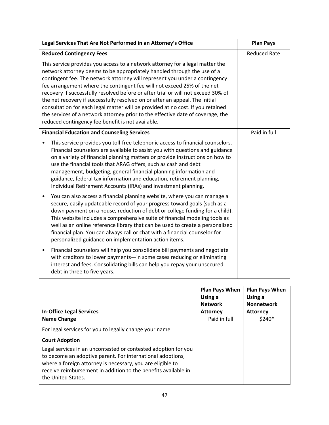| Legal Services That Are Not Performed in an Attorney's Office                                                                                                                                                                                                                                                                                                                                                                                                                                                                                                                                                                                                                                                      | <b>Plan Pays</b>    |
|--------------------------------------------------------------------------------------------------------------------------------------------------------------------------------------------------------------------------------------------------------------------------------------------------------------------------------------------------------------------------------------------------------------------------------------------------------------------------------------------------------------------------------------------------------------------------------------------------------------------------------------------------------------------------------------------------------------------|---------------------|
| <b>Reduced Contingency Fees</b>                                                                                                                                                                                                                                                                                                                                                                                                                                                                                                                                                                                                                                                                                    | <b>Reduced Rate</b> |
| This service provides you access to a network attorney for a legal matter the<br>network attorney deems to be appropriately handled through the use of a<br>contingent fee. The network attorney will represent you under a contingency<br>fee arrangement where the contingent fee will not exceed 25% of the net<br>recovery if successfully resolved before or after trial or will not exceed 30% of<br>the net recovery if successfully resolved on or after an appeal. The initial<br>consultation for each legal matter will be provided at no cost. If you retained<br>the services of a network attorney prior to the effective date of coverage, the<br>reduced contingency fee benefit is not available. |                     |
| <b>Financial Education and Counseling Services</b>                                                                                                                                                                                                                                                                                                                                                                                                                                                                                                                                                                                                                                                                 | Paid in full        |
| This service provides you toll-free telephonic access to financial counselors.<br>$\bullet$<br>Financial counselors are available to assist you with questions and guidance<br>on a variety of financial planning matters or provide instructions on how to<br>use the financial tools that ARAG offers, such as cash and debt<br>management, budgeting, general financial planning information and<br>guidance, federal tax information and education, retirement planning,<br>Individual Retirement Accounts (IRAs) and investment planning.                                                                                                                                                                     |                     |
| You can also access a financial planning website, where you can manage a<br>$\bullet$<br>secure, easily updateable record of your progress toward goals (such as a<br>down payment on a house, reduction of debt or college funding for a child).<br>This website includes a comprehensive suite of financial modeling tools as<br>well as an online reference library that can be used to create a personalized<br>financial plan. You can always call or chat with a financial counselor for<br>personalized guidance on implementation action items.                                                                                                                                                            |                     |
| Financial counselors will help you consolidate bill payments and negotiate<br>٠<br>with creditors to lower payments-in some cases reducing or eliminating<br>interest and fees. Consolidating bills can help you repay your unsecured<br>debt in three to five years.                                                                                                                                                                                                                                                                                                                                                                                                                                              |                     |

| <b>In-Office Legal Services</b>                                                                                                                                                                                                                                                                             | <b>Plan Pays When</b><br>Using a<br><b>Network</b><br><b>Attorney</b> | <b>Plan Pays When</b><br>Using a<br><b>Nonnetwork</b><br><b>Attorney</b> |
|-------------------------------------------------------------------------------------------------------------------------------------------------------------------------------------------------------------------------------------------------------------------------------------------------------------|-----------------------------------------------------------------------|--------------------------------------------------------------------------|
| Name Change                                                                                                                                                                                                                                                                                                 | Paid in full                                                          | $$240*$                                                                  |
| For legal services for you to legally change your name.                                                                                                                                                                                                                                                     |                                                                       |                                                                          |
| <b>Court Adoption</b><br>Legal services in an uncontested or contested adoption for you<br>to become an adoptive parent. For international adoptions,<br>where a foreign attorney is necessary, you are eligible to<br>receive reimbursement in addition to the benefits available in<br>the United States. |                                                                       |                                                                          |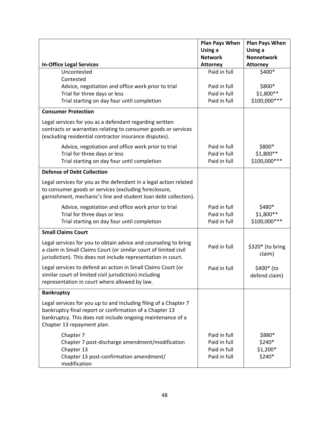|                                                                                                                                                                                                                         | <b>Plan Pays When</b> | <b>Plan Pays When</b>       |
|-------------------------------------------------------------------------------------------------------------------------------------------------------------------------------------------------------------------------|-----------------------|-----------------------------|
|                                                                                                                                                                                                                         | Using a               | Using a                     |
|                                                                                                                                                                                                                         | <b>Network</b>        | <b>Nonnetwork</b>           |
| <b>In-Office Legal Services</b>                                                                                                                                                                                         | <b>Attorney</b>       | <b>Attorney</b>             |
| Uncontested<br>Contested                                                                                                                                                                                                | Paid in full          | \$400*                      |
| Advice, negotiation and office work prior to trial                                                                                                                                                                      | Paid in full          | \$800*                      |
| Trial for three days or less                                                                                                                                                                                            | Paid in full          | \$1,800 **                  |
| Trial starting on day four until completion                                                                                                                                                                             | Paid in full          | \$100,000 ***               |
| <b>Consumer Protection</b>                                                                                                                                                                                              |                       |                             |
| Legal services for you as a defendant regarding written<br>contracts or warranties relating to consumer goods or services<br>(excluding residential contractor insurance disputes).                                     |                       |                             |
| Advice, negotiation and office work prior to trial                                                                                                                                                                      | Paid in full          | \$800*                      |
| Trial for three days or less                                                                                                                                                                                            | Paid in full          | \$1,800 **                  |
| Trial starting on day four until completion                                                                                                                                                                             | Paid in full          | \$100,000 ***               |
| <b>Defense of Debt Collection</b>                                                                                                                                                                                       |                       |                             |
| Legal services for you as the defendant in a legal action related<br>to consumer goods or services (excluding foreclosure,<br>garnishment, mechanic's line and student loan debt collection).                           |                       |                             |
| Advice, negotiation and office work prior to trial                                                                                                                                                                      | Paid in full          | \$480*                      |
| Trial for three days or less                                                                                                                                                                                            | Paid in full          | \$1,800 **                  |
| Trial starting on day four until completion                                                                                                                                                                             | Paid in full          | \$100,000 ***               |
| <b>Small Claims Court</b>                                                                                                                                                                                               |                       |                             |
| Legal services for you to obtain advice and counseling to bring<br>a claim in Small Claims Court (or similar court of limited civil<br>jurisdiction). This does not include representation in court.                    | Paid in full          | \$320* (to bring<br>claim)  |
| Legal services to defend an action in Small Claims Court (or<br>similar court of limited civil jurisdiction) including<br>representation in court where allowed by law.                                                 | Paid in full          | \$400* (to<br>defend claim) |
| <b>Bankruptcy</b>                                                                                                                                                                                                       |                       |                             |
| Legal services for you up to and including filing of a Chapter 7<br>bankruptcy final report or confirmation of a Chapter 13<br>bankruptcy. This does not include ongoing maintenance of a<br>Chapter 13 repayment plan. |                       |                             |
| Chapter 7                                                                                                                                                                                                               | Paid in full          | \$880*                      |
| Chapter 7 post-discharge amendment/modification                                                                                                                                                                         | Paid in full          | \$240*                      |
| Chapter 13                                                                                                                                                                                                              | Paid in full          | $$1,200*$                   |
| Chapter 13 post-confirmation amendment/<br>modification                                                                                                                                                                 | Paid in full          | \$240*                      |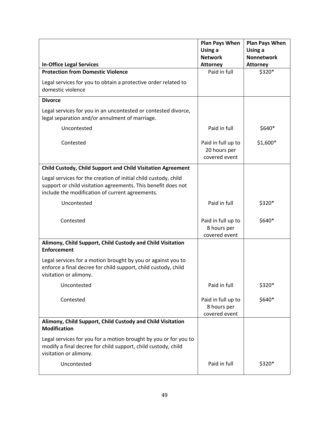|                                                                                                                                                                                     | <b>Plan Pays When</b><br>Using a                    | <b>Plan Pays When</b><br>Using a |
|-------------------------------------------------------------------------------------------------------------------------------------------------------------------------------------|-----------------------------------------------------|----------------------------------|
|                                                                                                                                                                                     | <b>Network</b>                                      | <b>Nonnetwork</b>                |
| <b>In-Office Legal Services</b>                                                                                                                                                     | <b>Attorney</b>                                     | <b>Attorney</b>                  |
| <b>Protection from Domestic Violence</b>                                                                                                                                            | Paid in full                                        | \$320*                           |
| Legal services for you to obtain a protective order related to<br>domestic violence                                                                                                 |                                                     |                                  |
| <b>Divorce</b>                                                                                                                                                                      |                                                     |                                  |
| Legal services for you in an uncontested or contested divorce,<br>legal separation and/or annulment of marriage.                                                                    |                                                     |                                  |
| Uncontested                                                                                                                                                                         | Paid in full                                        | \$640*                           |
| Contested                                                                                                                                                                           | Paid in full up to<br>20 hours per<br>covered event | $$1,600*$                        |
| Child Custody, Child Support and Child Visitation Agreement                                                                                                                         |                                                     |                                  |
| Legal services for the creation of initial child custody, child<br>support or child visitation agreements. This benefit does not<br>include the modification of current agreements. |                                                     |                                  |
| Uncontested                                                                                                                                                                         | Paid in full                                        | \$320*                           |
| Contested                                                                                                                                                                           | Paid in full up to<br>8 hours per<br>covered event  | \$640*                           |
| Alimony, Child Support, Child Custody and Child Visitation<br><b>Enforcement</b>                                                                                                    |                                                     |                                  |
| Legal services for a motion brought by you or against you to<br>enforce a final decree for child support, child custody, child<br>visitation or alimony.                            |                                                     |                                  |
| Uncontested                                                                                                                                                                         | Paid in full                                        | \$320*                           |
| Contested                                                                                                                                                                           | Paid in full up to<br>8 hours per<br>covered event  | \$640*                           |
| Alimony, Child Support, Child Custody and Child Visitation<br><b>Modification</b>                                                                                                   |                                                     |                                  |
| Legal services for you for a motion brought by you or for you to<br>modify a final decree for child support, child custody, child<br>visitation or alimony.                         |                                                     |                                  |
| Uncontested                                                                                                                                                                         | Paid in full                                        | \$320*                           |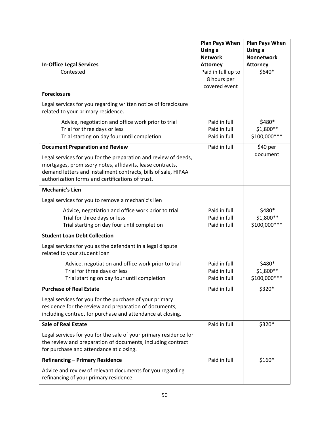|                                                                                                                                                                                                                                                    | <b>Plan Pays When</b><br>Using a | <b>Plan Pays When</b><br>Using a |
|----------------------------------------------------------------------------------------------------------------------------------------------------------------------------------------------------------------------------------------------------|----------------------------------|----------------------------------|
|                                                                                                                                                                                                                                                    | <b>Network</b>                   | <b>Nonnetwork</b>                |
| <b>In-Office Legal Services</b>                                                                                                                                                                                                                    | <b>Attorney</b>                  | <b>Attorney</b>                  |
| Contested                                                                                                                                                                                                                                          | Paid in full up to               | \$640*                           |
|                                                                                                                                                                                                                                                    | 8 hours per                      |                                  |
|                                                                                                                                                                                                                                                    | covered event                    |                                  |
| <b>Foreclosure</b>                                                                                                                                                                                                                                 |                                  |                                  |
| Legal services for you regarding written notice of foreclosure<br>related to your primary residence.                                                                                                                                               |                                  |                                  |
| Advice, negotiation and office work prior to trial                                                                                                                                                                                                 | Paid in full                     | \$480*                           |
| Trial for three days or less                                                                                                                                                                                                                       | Paid in full                     | \$1,800**                        |
| Trial starting on day four until completion                                                                                                                                                                                                        | Paid in full                     | \$100,000 ***                    |
| <b>Document Preparation and Review</b>                                                                                                                                                                                                             | Paid in full                     | \$40 per                         |
| Legal services for you for the preparation and review of deeds,<br>mortgages, promissory notes, affidavits, lease contracts,<br>demand letters and installment contracts, bills of sale, HIPAA<br>authorization forms and certifications of trust. |                                  | document                         |
| <b>Mechanic's Lien</b>                                                                                                                                                                                                                             |                                  |                                  |
| Legal services for you to remove a mechanic's lien                                                                                                                                                                                                 |                                  |                                  |
| Advice, negotiation and office work prior to trial                                                                                                                                                                                                 | Paid in full                     | \$480*                           |
| Trial for three days or less                                                                                                                                                                                                                       | Paid in full                     | \$1,800 **                       |
| Trial starting on day four until completion                                                                                                                                                                                                        | Paid in full                     | \$100,000 ***                    |
| <b>Student Loan Debt Collection</b>                                                                                                                                                                                                                |                                  |                                  |
| Legal services for you as the defendant in a legal dispute<br>related to your student loan                                                                                                                                                         |                                  |                                  |
| Advice, negotiation and office work prior to trial                                                                                                                                                                                                 | Paid in full                     | \$480*                           |
| Trial for three days or less                                                                                                                                                                                                                       | Paid in full                     | \$1,800 **                       |
| Trial starting on day four until completion                                                                                                                                                                                                        | Paid in full                     | \$100,000 ***                    |
| <b>Purchase of Real Estate</b>                                                                                                                                                                                                                     | Paid in full                     | \$320*                           |
| Legal services for you for the purchase of your primary<br>residence for the review and preparation of documents,<br>including contract for purchase and attendance at closing.                                                                    |                                  |                                  |
| <b>Sale of Real Estate</b>                                                                                                                                                                                                                         | Paid in full                     | \$320*                           |
| Legal services for you for the sale of your primary residence for<br>the review and preparation of documents, including contract<br>for purchase and attendance at closing.                                                                        |                                  |                                  |
| <b>Refinancing - Primary Residence</b>                                                                                                                                                                                                             | Paid in full                     | $$160*$                          |
| Advice and review of relevant documents for you regarding<br>refinancing of your primary residence.                                                                                                                                                |                                  |                                  |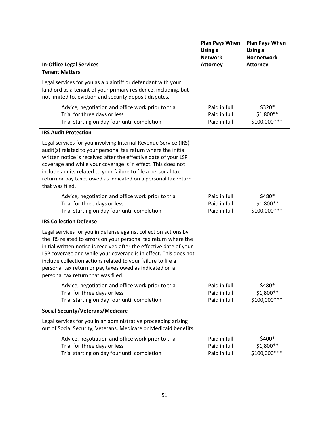|                                                                                                                                                                                                                                                                                                                                                                                                                                                 | <b>Plan Pays When</b><br>Using a<br><b>Network</b> | <b>Plan Pays When</b><br>Using a<br><b>Nonnetwork</b> |
|-------------------------------------------------------------------------------------------------------------------------------------------------------------------------------------------------------------------------------------------------------------------------------------------------------------------------------------------------------------------------------------------------------------------------------------------------|----------------------------------------------------|-------------------------------------------------------|
| <b>In-Office Legal Services</b><br><b>Tenant Matters</b>                                                                                                                                                                                                                                                                                                                                                                                        | <b>Attorney</b>                                    | <b>Attorney</b>                                       |
| Legal services for you as a plaintiff or defendant with your<br>landlord as a tenant of your primary residence, including, but<br>not limited to, eviction and security deposit disputes.                                                                                                                                                                                                                                                       |                                                    |                                                       |
| Advice, negotiation and office work prior to trial<br>Trial for three days or less<br>Trial starting on day four until completion                                                                                                                                                                                                                                                                                                               | Paid in full<br>Paid in full<br>Paid in full       | \$320*<br>$$1,800**$<br>\$100,000 ***                 |
| <b>IRS Audit Protection</b>                                                                                                                                                                                                                                                                                                                                                                                                                     |                                                    |                                                       |
| Legal services for you involving Internal Revenue Service (IRS)<br>audit(s) related to your personal tax return where the initial<br>written notice is received after the effective date of your LSP<br>coverage and while your coverage is in effect. This does not<br>include audits related to your failure to file a personal tax<br>return or pay taxes owed as indicated on a personal tax return<br>that was filed.                      |                                                    |                                                       |
| Advice, negotiation and office work prior to trial<br>Trial for three days or less<br>Trial starting on day four until completion                                                                                                                                                                                                                                                                                                               | Paid in full<br>Paid in full<br>Paid in full       | \$480*<br>\$1,800**<br>\$100,000 ***                  |
| <b>IRS Collection Defense</b>                                                                                                                                                                                                                                                                                                                                                                                                                   |                                                    |                                                       |
| Legal services for you in defense against collection actions by<br>the IRS related to errors on your personal tax return where the<br>initial written notice is received after the effective date of your<br>LSP coverage and while your coverage is in effect. This does not<br>include collection actions related to your failure to file a<br>personal tax return or pay taxes owed as indicated on a<br>personal tax return that was filed. |                                                    |                                                       |
| Advice, negotiation and office work prior to trial<br>Trial for three days or less<br>Trial starting on day four until completion                                                                                                                                                                                                                                                                                                               | Paid in full<br>Paid in full<br>Paid in full       | \$480*<br>\$1,800 **<br>\$100,000 ***                 |
| <b>Social Security/Veterans/Medicare</b>                                                                                                                                                                                                                                                                                                                                                                                                        |                                                    |                                                       |
| Legal services for you in an administrative proceeding arising<br>out of Social Security, Veterans, Medicare or Medicaid benefits.                                                                                                                                                                                                                                                                                                              |                                                    |                                                       |
| Advice, negotiation and office work prior to trial<br>Trial for three days or less<br>Trial starting on day four until completion                                                                                                                                                                                                                                                                                                               | Paid in full<br>Paid in full<br>Paid in full       | \$400*<br>\$1,800**<br>\$100,000 ***                  |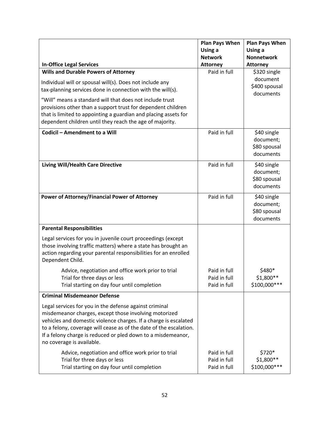|                                                                                                                                        | <b>Plan Pays When</b><br>Using a | <b>Plan Pays When</b><br>Using a |
|----------------------------------------------------------------------------------------------------------------------------------------|----------------------------------|----------------------------------|
|                                                                                                                                        | <b>Network</b>                   | <b>Nonnetwork</b>                |
| <b>In-Office Legal Services</b>                                                                                                        | <b>Attorney</b>                  | <b>Attorney</b>                  |
| <b>Wills and Durable Powers of Attorney</b>                                                                                            | Paid in full                     | \$320 single                     |
| Individual will or spousal will(s). Does not include any                                                                               |                                  | document                         |
| tax-planning services done in connection with the will(s).                                                                             |                                  | \$400 spousal                    |
| "Will" means a standard will that does not include trust                                                                               |                                  | documents                        |
| provisions other than a support trust for dependent children                                                                           |                                  |                                  |
| that is limited to appointing a guardian and placing assets for                                                                        |                                  |                                  |
| dependent children until they reach the age of majority.                                                                               |                                  |                                  |
| Codicil - Amendment to a Will                                                                                                          | Paid in full                     | \$40 single                      |
|                                                                                                                                        |                                  | document;                        |
|                                                                                                                                        |                                  | \$80 spousal                     |
|                                                                                                                                        |                                  | documents                        |
| <b>Living Will/Health Care Directive</b>                                                                                               | Paid in full                     | \$40 single                      |
|                                                                                                                                        |                                  | document;                        |
|                                                                                                                                        |                                  | \$80 spousal                     |
|                                                                                                                                        |                                  | documents                        |
| Power of Attorney/Financial Power of Attorney                                                                                          | Paid in full                     | \$40 single                      |
|                                                                                                                                        |                                  | document;                        |
|                                                                                                                                        |                                  | \$80 spousal                     |
|                                                                                                                                        |                                  | documents                        |
| <b>Parental Responsibilities</b>                                                                                                       |                                  |                                  |
| Legal services for you in juvenile court proceedings (except                                                                           |                                  |                                  |
| those involving traffic matters) where a state has brought an                                                                          |                                  |                                  |
| action regarding your parental responsibilities for an enrolled                                                                        |                                  |                                  |
| Dependent Child.                                                                                                                       |                                  |                                  |
| Advice, negotiation and office work prior to trial                                                                                     | Paid in full                     | \$480*                           |
| Trial for three days or less                                                                                                           | Paid in full                     | \$1,800**<br>\$100,000 ***       |
| Trial starting on day four until completion                                                                                            | Paid in full                     |                                  |
| <b>Criminal Misdemeanor Defense</b>                                                                                                    |                                  |                                  |
| Legal services for you in the defense against criminal                                                                                 |                                  |                                  |
| misdemeanor charges, except those involving motorized                                                                                  |                                  |                                  |
| vehicles and domestic violence charges. If a charge is escalated<br>to a felony, coverage will cease as of the date of the escalation. |                                  |                                  |
| If a felony charge is reduced or pled down to a misdemeanor,                                                                           |                                  |                                  |
| no coverage is available.                                                                                                              |                                  |                                  |
| Advice, negotiation and office work prior to trial                                                                                     | Paid in full                     | \$720*                           |
| Trial for three days or less                                                                                                           | Paid in full                     | \$1,800**                        |
| Trial starting on day four until completion                                                                                            | Paid in full                     | \$100,000 ***                    |
|                                                                                                                                        |                                  |                                  |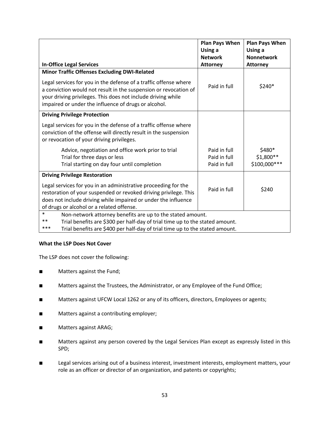|                                                                                                                                                                                                                                                              | <b>Plan Pays When</b><br>Using a<br><b>Network</b> | <b>Plan Pays When</b><br>Using a<br><b>Nonnetwork</b> |  |
|--------------------------------------------------------------------------------------------------------------------------------------------------------------------------------------------------------------------------------------------------------------|----------------------------------------------------|-------------------------------------------------------|--|
| <b>In-Office Legal Services</b>                                                                                                                                                                                                                              | <b>Attorney</b>                                    | <b>Attorney</b>                                       |  |
| <b>Minor Traffic Offenses Excluding DWI-Related</b>                                                                                                                                                                                                          |                                                    |                                                       |  |
| Legal services for you in the defense of a traffic offense where<br>a conviction would not result in the suspension or revocation of<br>your driving privileges. This does not include driving while<br>impaired or under the influence of drugs or alcohol. | Paid in full                                       | \$240*                                                |  |
| <b>Driving Privilege Protection</b>                                                                                                                                                                                                                          |                                                    |                                                       |  |
| Legal services for you in the defense of a traffic offense where<br>conviction of the offense will directly result in the suspension<br>or revocation of your driving privileges.                                                                            |                                                    |                                                       |  |
| Advice, negotiation and office work prior to trial                                                                                                                                                                                                           | Paid in full                                       | \$480*                                                |  |
| Trial for three days or less                                                                                                                                                                                                                                 | Paid in full                                       | \$1,800**                                             |  |
| Trial starting on day four until completion                                                                                                                                                                                                                  | Paid in full                                       | \$100,000 ***                                         |  |
| <b>Driving Privilege Restoration</b>                                                                                                                                                                                                                         |                                                    |                                                       |  |
| Legal services for you in an administrative proceeding for the<br>restoration of your suspended or revoked driving privilege. This<br>does not include driving while impaired or under the influence<br>of drugs or alcohol or a related offense.            | Paid in full                                       | \$240                                                 |  |
| $\ast$<br>Non-network attorney benefits are up to the stated amount.                                                                                                                                                                                         |                                                    |                                                       |  |
| **<br>Trial benefits are \$300 per half-day of trial time up to the stated amount.                                                                                                                                                                           |                                                    |                                                       |  |
| ***<br>Trial benefits are \$400 per half-day of trial time up to the stated amount.                                                                                                                                                                          |                                                    |                                                       |  |

### **What the LSP Does Not Cover**

The LSP does not cover the following:

- Matters against the Fund;
- Matters against the Trustees, the Administrator, or any Employee of the Fund Office;
- Matters against UFCW Local 1262 or any of its officers, directors, Employees or agents;
- Matters against a contributing employer;
- Matters against ARAG;
- Matters against any person covered by the Legal Services Plan except as expressly listed in this SPD;
- Legal services arising out of a business interest, investment interests, employment matters, your role as an officer or director of an organization, and patents or copyrights;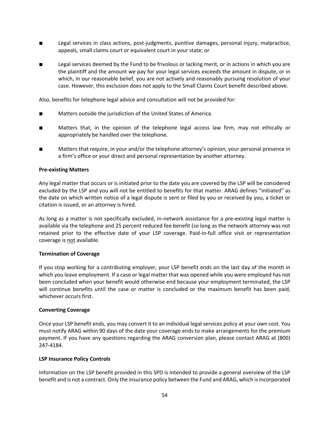- Legal services in class actions, post-judgments, punitive damages, personal injury, malpractice, appeals, small claims court or equivalent court in your state; or
- Legal services deemed by the Fund to be frivolous or lacking merit, or in actions in which you are the plaintiff and the amount we pay for your legal services exceeds the amount in dispute, or in which, in our reasonable belief, you are not actively and reasonably pursuing resolution of your case. However, this exclusion does not apply to the Small Claims Court benefit described above.

Also, benefits for telephone legal advice and consultation will not be provided for:

- Matters outside the jurisdiction of the United States of America.
- Matters that, in the opinion of the telephone legal access law firm, may not ethically or appropriately be handled over the telephone.
- Matters that require, in your and/or the telephone attorney's opinion, your personal presence in a firm's office or your direct and personal representation by another attorney.

#### **Pre-existing Matters**

Any legal matter that occurs or is initiated prior to the date you are covered by the LSP will be considered excluded by the LSP and you will not be entitled to benefits for that matter. ARAG defines "initiated" as the date on which written notice of a legal dispute is sent or filed by you or received by you, a ticket or citation is issued, or an attorney is hired.

As long as a matter is not specifically excluded, in-network assistance for a pre-existing legal matter is available via the telephone and 25 percent reduced fee benefit (so long as the network attorney was not retained prior to the effective date of your LSP coverage. Paid-in-full office visit or representation coverage is not available.

### **Termination of Coverage**

If you stop working for a contributing employer, your LSP benefit ends on the last day of the month in which you leave employment. If a case or legal matter that was opened while you were employed has not been concluded when your benefit would otherwise end because your employment terminated, the LSP will continue benefits until the case or matter is concluded or the maximum benefit has been paid, whichever occurs first.

#### **Converting Coverage**

Once your LSP benefit ends, you may convert it to an individual legal services policy at your own cost. You must notify ARAG within 90 days of the date your coverage ends to make arrangements for the premium payment. If you have any questions regarding the ARAG conversion plan, please contact ARAG at (800) 247-4184.

### **LSP Insurance Policy Controls**

Information on the LSP benefit provided in this SPD is intended to provide a general overview of the LSP benefit and is not a contract. Only the insurance policy between the Fund and ARAG, which is incorporated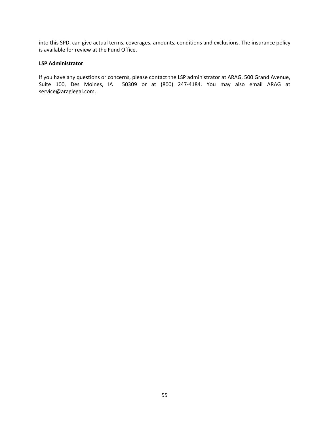into this SPD, can give actual terms, coverages, amounts, conditions and exclusions. The insurance policy is available for review at the Fund Office.

#### **LSP Administrator**

If you have any questions or concerns, please contact the LSP administrator at ARAG, 500 Grand Avenue, Suite 100, Des Moines, IA 50309 or at (800) 247-4184. You may also email ARAG at service@araglegal.com.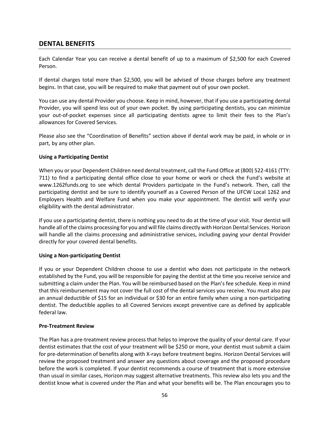# **DENTAL BENEFITS**

Each Calendar Year you can receive a dental benefit of up to a maximum of \$2,500 for each Covered Person.

If dental charges total more than \$2,500, you will be advised of those charges before any treatment begins. In that case, you will be required to make that payment out of your own pocket.

You can use any dental Provider you choose. Keep in mind, however, that if you use a participating dental Provider, you will spend less out of your own pocket. By using participating dentists, you can minimize your out-of-pocket expenses since all participating dentists agree to limit their fees to the Plan's allowances for Covered Services.

Please also see the "Coordination of Benefits" section above if dental work may be paid, in whole or in part, by any other plan.

### **Using a Participating Dentist**

When you or your Dependent Children need dental treatment, call the Fund Office at (800) 522-4161 (TTY: 711) to find a participating dental office close to your home or work or check the Fund's website at www.1262funds.org to see which dental Providers participate in the Fund's network. Then, call the participating dentist and be sure to identify yourself as a Covered Person of the UFCW Local 1262 and Employers Health and Welfare Fund when you make your appointment. The dentist will verify your eligibility with the dental administrator.

If you use a participating dentist, there is nothing you need to do at the time of your visit. Your dentist will handle all of the claims processing for you and will file claims directly with Horizon Dental Services. Horizon will handle all the claims processing and administrative services, including paying your dental Provider directly for your covered dental benefits.

### **Using a Non-participating Dentist**

If you or your Dependent Children choose to use a dentist who does not participate in the network established by the Fund, you will be responsible for paying the dentist at the time you receive service and submitting a claim under the Plan. You will be reimbursed based on the Plan's fee schedule. Keep in mind that this reimbursement may not cover the full cost of the dental services you receive. You must also pay an annual deductible of \$15 for an individual or \$30 for an entire family when using a non-participating dentist. The deductible applies to all Covered Services except preventive care as defined by applicable federal law.

### **Pre-Treatment Review**

The Plan has a pre-treatment review process that helps to improve the quality of your dental care. If your dentist estimates that the cost of your treatment will be \$250 or more, your dentist must submit a claim for pre-determination of benefits along with X-rays before treatment begins. Horizon Dental Services will review the proposed treatment and answer any questions about coverage and the proposed procedure before the work is completed. If your dentist recommends a course of treatment that is more extensive than usual in similar cases, Horizon may suggest alternative treatments. This review also lets you and the dentist know what is covered under the Plan and what your benefits will be. The Plan encourages you to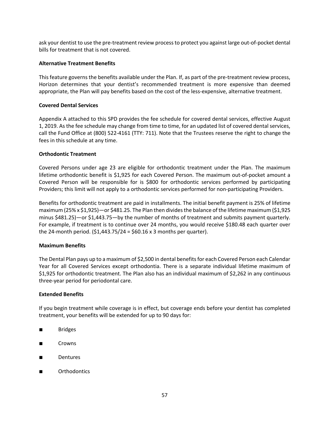ask your dentist to use the pre-treatment review process to protect you against large out-of-pocket dental bills for treatment that is not covered.

#### **Alternative Treatment Benefits**

This feature governs the benefits available under the Plan. If, as part of the pre-treatment review process, Horizon determines that your dentist's recommended treatment is more expensive than deemed appropriate, the Plan will pay benefits based on the cost of the less-expensive, alternative treatment.

#### **Covered Dental Services**

Appendix A attached to this SPD provides the fee schedule for covered dental services, effective August 1, 2019. As the fee schedule may change from time to time, for an updated list of covered dental services, call the Fund Office at (800) 522-4161 (TTY: 711). Note that the Trustees reserve the right to change the fees in this schedule at any time.

#### **Orthodontic Treatment**

Covered Persons under age 23 are eligible for orthodontic treatment under the Plan. The maximum lifetime orthodontic benefit is \$1,925 for each Covered Person. The maximum out-of-pocket amount a Covered Person will be responsible for is \$800 for orthodontic services performed by participating Providers; this limit will not apply to a orthodontic services performed for non-participating Providers.

Benefits for orthodontic treatment are paid in installments. The initial benefit payment is 25% of lifetime maximum (25% x \$1,925)—or \$481.25. The Plan then divides the balance of the lifetime maximum (\$1,925 minus \$481.25)—or \$1,443.75—by the number of months of treatment and submits payment quarterly. For example, if treatment is to continue over 24 months, you would receive \$180.48 each quarter over the 24-month period.  $(51,443.75/24 = 560.16 \times 3$  months per quarter).

### **Maximum Benefits**

The Dental Plan pays up to a maximum of \$2,500 in dental benefits for each Covered Person each Calendar Year for all Covered Services except orthodontia. There is a separate individual lifetime maximum of \$1,925 for orthodontic treatment. The Plan also has an individual maximum of \$2,262 in any continuous three-year period for periodontal care.

#### **Extended Benefits**

If you begin treatment while coverage is in effect, but coverage ends before your dentist has completed treatment, your benefits will be extended for up to 90 days for:

- Bridges
- Crowns
- **Dentures**
- **Orthodontics**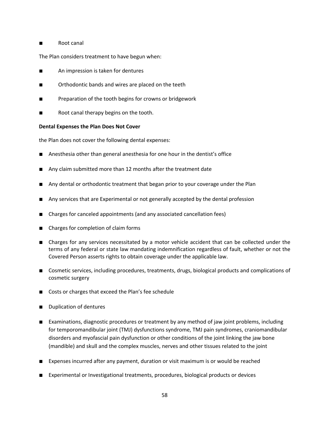### ■ Root canal

The Plan considers treatment to have begun when:

- An impression is taken for dentures
- Orthodontic bands and wires are placed on the teeth
- Preparation of the tooth begins for crowns or bridgework
- Root canal therapy begins on the tooth.

### **Dental Expenses the Plan Does Not Cover**

the Plan does not cover the following dental expenses:

- Anesthesia other than general anesthesia for one hour in the dentist's office
- Any claim submitted more than 12 months after the treatment date
- Any dental or orthodontic treatment that began prior to your coverage under the Plan
- Any services that are Experimental or not generally accepted by the dental profession
- Charges for canceled appointments (and any associated cancellation fees)
- Charges for completion of claim forms
- Charges for any services necessitated by a motor vehicle accident that can be collected under the terms of any federal or state law mandating indemnification regardless of fault, whether or not the Covered Person asserts rights to obtain coverage under the applicable law.
- Cosmetic services, including procedures, treatments, drugs, biological products and complications of cosmetic surgery
- Costs or charges that exceed the Plan's fee schedule
- Duplication of dentures
- Examinations, diagnostic procedures or treatment by any method of jaw joint problems, including for temporomandibular joint (TMJ) dysfunctions syndrome, TMJ pain syndromes, craniomandibular disorders and myofascial pain dysfunction or other conditions of the joint linking the jaw bone (mandible) and skull and the complex muscles, nerves and other tissues related to the joint
- Expenses incurred after any payment, duration or visit maximum is or would be reached
- Experimental or Investigational treatments, procedures, biological products or devices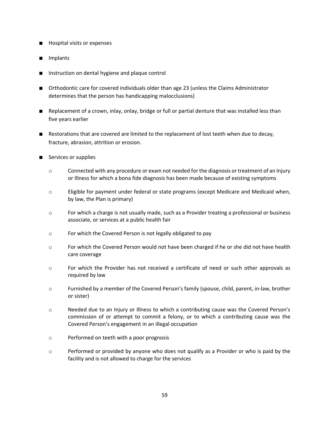- Hospital visits or expenses
- Implants
- Instruction on dental hygiene and plaque control
- Orthodontic care for covered individuals older than age 23 (unless the Claims Administrator determines that the person has handicapping malocclusions)
- Replacement of a crown, inlay, onlay, bridge or full or partial denture that was installed less than five years earlier
- Restorations that are covered are limited to the replacement of lost teeth when due to decay, fracture, abrasion, attrition or erosion.
- Services or supplies
	- $\circ$  Connected with any procedure or exam not needed for the diagnosis or treatment of an Injury or Illness for which a bona fide diagnosis has been made because of existing symptoms
	- o Eligible for payment under federal or state programs (except Medicare and Medicaid when, by law, the Plan is primary)
	- o For which a charge is not usually made, such as a Provider treating a professional or business associate, or services at a public health fair
	- o For which the Covered Person is not legally obligated to pay
	- o For which the Covered Person would not have been charged if he or she did not have health care coverage
	- o For which the Provider has not received a certificate of need or such other approvals as required by law
	- o Furnished by a member of the Covered Person's family (spouse, child, parent, in-law, brother or sister)
	- o Needed due to an Injury or Illness to which a contributing cause was the Covered Person's commission of or attempt to commit a felony, or to which a contributing cause was the Covered Person's engagement in an illegal occupation
	- o Performed on teeth with a poor prognosis
	- o Performed or provided by anyone who does not qualify as a Provider or who is paid by the facility and is not allowed to charge for the services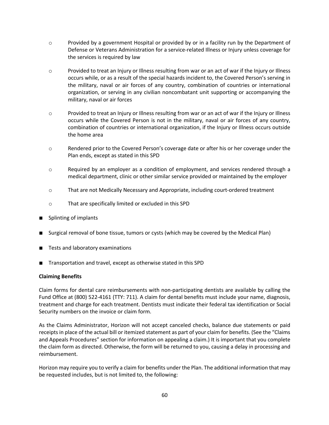- o Provided by a government Hospital or provided by or in a facility run by the Department of Defense or Veterans Administration for a service-related Illness or Injury unless coverage for the services is required by law
- $\circ$  Provided to treat an Injury or Illness resulting from war or an act of war if the Injury or Illness occurs while, or as a result of the special hazards incident to, the Covered Person's serving in the military, naval or air forces of any country, combination of countries or international organization, or serving in any civilian noncombatant unit supporting or accompanying the military, naval or air forces
- $\circ$  Provided to treat an Injury or Illness resulting from war or an act of war if the Injury or Illness occurs while the Covered Person is not in the military, naval or air forces of any country, combination of countries or international organization, if the Injury or Illness occurs outside the home area
- o Rendered prior to the Covered Person's coverage date or after his or her coverage under the Plan ends, except as stated in this SPD
- o Required by an employer as a condition of employment, and services rendered through a medical department, clinic or other similar service provided or maintained by the employer
- o That are not Medically Necessary and Appropriate, including court-ordered treatment
- o That are specifically limited or excluded in this SPD
- **Splinting of implants**
- Surgical removal of bone tissue, tumors or cysts (which may be covered by the Medical Plan)
- Tests and laboratory examinations
- Transportation and travel, except as otherwise stated in this SPD

### **Claiming Benefits**

Claim forms for dental care reimbursements with non-participating dentists are available by calling the Fund Office at (800) 522-4161 (TTY: 711). A claim for dental benefits must include your name, diagnosis, treatment and charge for each treatment. Dentists must indicate their federal tax identification or Social Security numbers on the invoice or claim form.

As the Claims Administrator, Horizon will not accept canceled checks, balance due statements or paid receipts in place of the actual bill or itemized statement as part of your claim for benefits. (See the "Claims and Appeals Procedures" section for information on appealing a claim.) It is important that you complete the claim form as directed. Otherwise, the form will be returned to you, causing a delay in processing and reimbursement.

Horizon may require you to verify a claim for benefits under the Plan. The additional information that may be requested includes, but is not limited to, the following: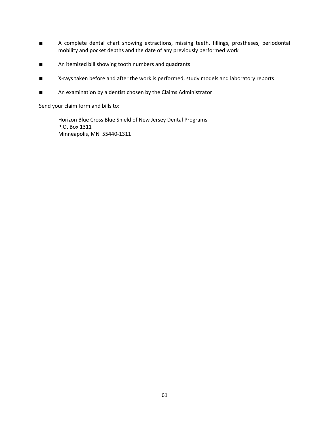- A complete dental chart showing extractions, missing teeth, fillings, prostheses, periodontal mobility and pocket depths and the date of any previously performed work
- An itemized bill showing tooth numbers and quadrants
- X-rays taken before and after the work is performed, study models and laboratory reports
- An examination by a dentist chosen by the Claims Administrator

Send your claim form and bills to:

Horizon Blue Cross Blue Shield of New Jersey Dental Programs P.O. Box 1311 Minneapolis, MN 55440-1311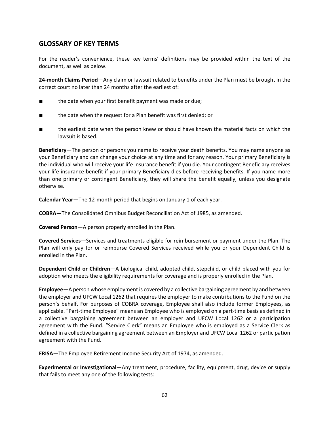# **GLOSSARY OF KEY TERMS**

For the reader's convenience, these key terms' definitions may be provided within the text of the document, as well as below.

**24-month Claims Period**—Any claim or lawsuit related to benefits under the Plan must be brought in the correct court no later than 24 months after the earliest of:

- the date when your first benefit payment was made or due;
- the date when the request for a Plan benefit was first denied; or
- the earliest date when the person knew or should have known the material facts on which the lawsuit is based.

**Beneficiary**—The person or persons you name to receive your death benefits. You may name anyone as your Beneficiary and can change your choice at any time and for any reason. Your primary Beneficiary is the individual who will receive your life insurance benefit if you die. Your contingent Beneficiary receives your life insurance benefit if your primary Beneficiary dies before receiving benefits. If you name more than one primary or contingent Beneficiary, they will share the benefit equally, unless you designate otherwise.

**Calendar Year**—The 12-month period that begins on January 1 of each year.

**COBRA**—The Consolidated Omnibus Budget Reconciliation Act of 1985, as amended.

**Covered Person**—A person properly enrolled in the Plan.

**Covered Services**—Services and treatments eligible for reimbursement or payment under the Plan. The Plan will only pay for or reimburse Covered Services received while you or your Dependent Child is enrolled in the Plan.

**Dependent Child or Children**—A biological child, adopted child, stepchild, or child placed with you for adoption who meets the eligibility requirements for coverage and is properly enrolled in the Plan.

**Employee**—A person whose employment is covered by a collective bargaining agreement by and between the employer and UFCW Local 1262 that requires the employer to make contributions to the Fund on the person's behalf. For purposes of COBRA coverage, Employee shall also include former Employees, as applicable. "Part-time Employee" means an Employee who is employed on a part-time basis as defined in a collective bargaining agreement between an employer and UFCW Local 1262 or a participation agreement with the Fund. "Service Clerk" means an Employee who is employed as a Service Clerk as defined in a collective bargaining agreement between an Employer and UFCW Local 1262 or participation agreement with the Fund.

**ERISA**—The Employee Retirement Income Security Act of 1974, as amended.

**Experimental or Investigational**—Any treatment, procedure, facility, equipment, drug, device or supply that fails to meet any one of the following tests: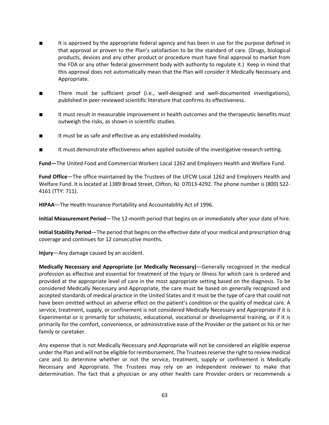- It is approved by the appropriate federal agency and has been in use for the purpose defined in that approval or proven to the Plan's satisfaction to be the standard of care. (Drugs, biological products, devices and any other product or procedure must have final approval to market from the FDA or any other federal government body with authority to regulate it.) Keep in mind that this approval does not automatically mean that the Plan will consider it Medically Necessary and Appropriate.
- There must be sufficient proof (i.e., well-designed and well-documented investigations), published in peer-reviewed scientific literature that confirms its effectiveness.
- It must result in measurable improvement in health outcomes and the therapeutic benefits must outweigh the risks, as shown in scientific studies.
- It must be as safe and effective as any established modality.
- It must demonstrate effectiveness when applied outside of the investigative research setting.

**Fund—**The United Food and Commercial Workers Local 1262 and Employers Health and Welfare Fund.

**Fund Office**—The office maintained by the Trustees of the UFCW Local 1262 and Employers Health and Welfare Fund. It is located at 1389 Broad Street, Clifton, NJ 07013-4292. The phone number is (800) 522- 4161 (TTY: 711).

**HIPAA**—The Health Insurance Portability and Accountability Act of 1996.

**Initial Measurement Period**—The 12-month period that begins on or immediately after your date of hire.

**Initial Stability Period**—The period that begins on the effective date of your medical and prescription drug coverage and continues for 12 consecutive months.

**Injury**—Any damage caused by an accident.

**Medically Necessary and Appropriate (or Medically Necessary)**—Generally recognized in the medical profession as effective and essential for treatment of the Injury or Illness for which care is ordered and provided at the appropriate level of care in the most appropriate setting based on the diagnosis. To be considered Medically Necessary and Appropriate, the care must be based on generally recognized and accepted standards of medical practice in the United States and it must be the type of care that could not have been omitted without an adverse effect on the patient's condition or the quality of medical care. A service, treatment, supply, or confinement is not considered Medically Necessary and Appropriate if it is Experimental or is primarily for scholastic, educational, vocational or developmental training, or if it is primarily for the comfort, convenience, or administrative ease of the Provider or the patient or his or her family or caretaker.

Any expense that is not Medically Necessary and Appropriate will not be considered an eligible expense under the Plan and will not be eligible for reimbursement. The Trustees reserve the right to review medical care and to determine whether or not the service, treatment, supply or confinement is Medically Necessary and Appropriate. The Trustees may rely on an independent reviewer to make that determination. The fact that a physician or any other health care Provider orders or recommends a